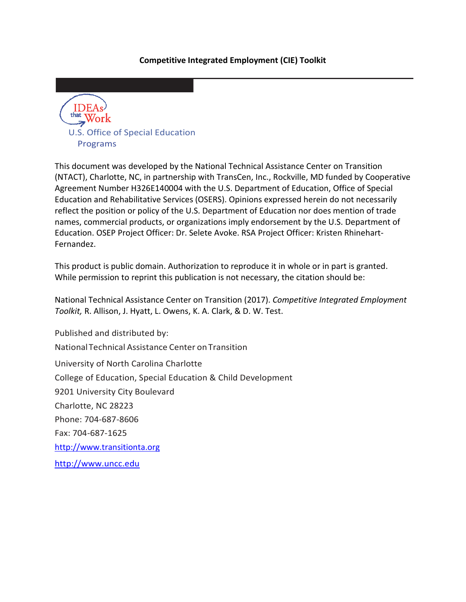#### **Competitive Integrated Employment (CIE) Toolkit**



This document was developed by the National Technical Assistance Center on Transition (NTACT), Charlotte, NC, in partnership with TransCen, Inc., Rockville, MD funded by Cooperative Agreement Number H326E140004 with the U.S. Department of Education, Office of Special Education and Rehabilitative Services (OSERS). Opinions expressed herein do not necessarily reflect the position or policy of the U.S. Department of Education nor does mention of trade names, commercial products, or organizations imply endorsement by the U.S. Department of Education. OSEP Project Officer: Dr. Selete Avoke. RSA Project Officer: Kristen Rhinehart-Fernandez.

This product is public domain. Authorization to reproduce it in whole or in part is granted. While permission to reprint this publication is not necessary, the citation should be:

National Technical Assistance Center on Transition (2017). *Competitive Integrated Employment Toolkit,* R. Allison, J. Hyatt, L. Owens, K. A. Clark, & D. W. Test.

Published and distributed by: NationalTechnical Assistance Center onTransition University of North Carolina Charlotte College of Education, Special Education & Child Development 9201 University City Boulevard Charlotte, NC 28223 Phone: 704-687-8606 Fax: 704-687-1625 [http://www.transitionta.org](http://www.transitionta.org/) [http://www.uncc.edu](http://www.uncc.edu/)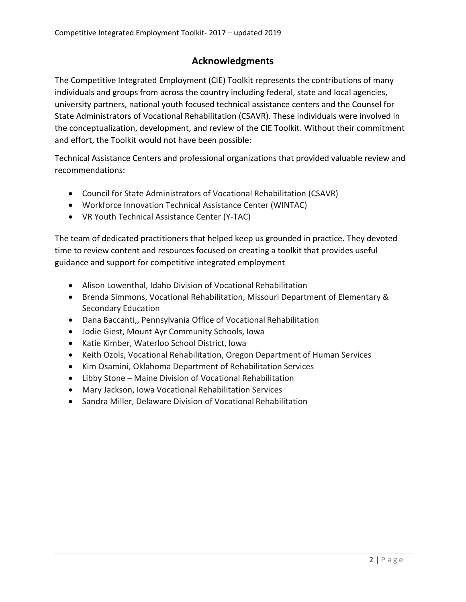# **Acknowledgments**

The Competitive Integrated Employment (CIE) Toolkit represents the contributions of many individuals and groups from across the country including federal, state and local agencies, university partners, national youth focused technical assistance centers and the Counsel for State Administrators of Vocational Rehabilitation (CSAVR). These individuals were involved in the conceptualization, development, and review of the CIE Toolkit. Without their commitment and effort, the Toolkit would not have been possible:

Technical Assistance Centers and professional organizations that provided valuable review and recommendations:

- Council for State Administrators of Vocational Rehabilitation (CSAVR)
- Workforce Innovation Technical Assistance Center (WINTAC)
- VR Youth Technical Assistance Center (Y-TAC)

The team of dedicated practitioners that helped keep us grounded in practice. They devoted time to review content and resources focused on creating a toolkit that provides useful guidance and support for competitive integrated employment

- Alison Lowenthal, Idaho Division of Vocational Rehabilitation
- Brenda Simmons, Vocational Rehabilitation, Missouri Department of Elementary & Secondary Education
- Dana Baccanti,, Pennsylvania Office of Vocational Rehabilitation
- Jodie Giest, Mount Ayr Community Schools, Iowa
- Katie Kimber, Waterloo School District, Iowa
- Keith Ozols, Vocational Rehabilitation, Oregon Department of Human Services
- Kim Osamini, Oklahoma Department of Rehabilitation Services
- Libby Stone Maine Division of Vocational Rehabilitation
- Mary Jackson, Iowa Vocational Rehabilitation Services
- Sandra Miller, Delaware Division of Vocational Rehabilitation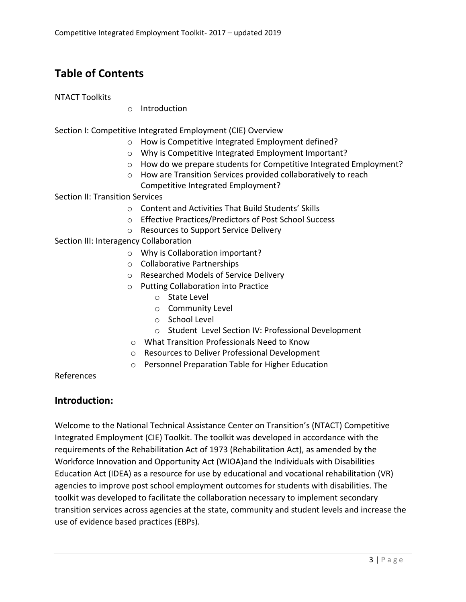# **Table of Contents**

#### NTACT Toolkits

o Introduction

Section I: Competitive Integrated Employment (CIE) Overview

- o How is Competitive Integrated Employment defined?
- o Why is Competitive Integrated Employment Important?
- o How do we prepare students for Competitive Integrated Employment?
- o How are Transition Services provided collaboratively to reach Competitive Integrated Employment?

Section II: Transition Services

- o Content and Activities That Build Students' Skills
- o Effective Practices/Predictors of Post School Success
- o Resources to Support Service Delivery

Section III: Interagency Collaboration

- o Why is Collaboration important?
- o Collaborative Partnerships
- o Researched Models of Service Delivery
- o Putting Collaboration into Practice
	- o State Level
	- o Community Level
	- o School Level
	- o Student Level Section IV: Professional Development
- o What Transition Professionals Need to Know
- o Resources to Deliver Professional Development
- o Personnel Preparation Table for Higher Education

References

# **Introduction:**

Welcome to the National Technical Assistance Center on Transition's (NTACT) Competitive Integrated Employment (CIE) Toolkit. The toolkit was developed in accordance with the requirements of the Rehabilitation Act of 1973 (Rehabilitation Act), as amended by the Workforce Innovation and Opportunity Act (WIOA)and the Individuals with Disabilities Education Act (IDEA) as a resource for use by educational and vocational rehabilitation (VR) agencies to improve post school employment outcomes for students with disabilities. The toolkit was developed to facilitate the collaboration necessary to implement secondary transition services across agencies at the state, community and student levels and increase the use of evidence based practices (EBPs).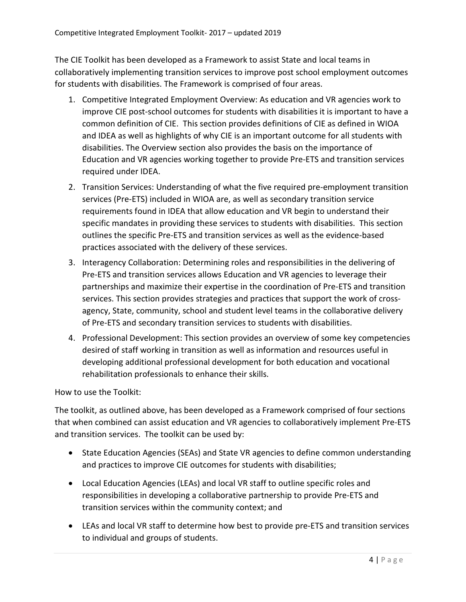The CIE Toolkit has been developed as a Framework to assist State and local teams in collaboratively implementing transition services to improve post school employment outcomes for students with disabilities. The Framework is comprised of four areas.

- 1. Competitive Integrated Employment Overview: As education and VR agencies work to improve CIE post-school outcomes for students with disabilities it is important to have a common definition of CIE. This section provides definitions of CIE as defined in WIOA and IDEA as well as highlights of why CIE is an important outcome for all students with disabilities. The Overview section also provides the basis on the importance of Education and VR agencies working together to provide Pre-ETS and transition services required under IDEA.
- 2. Transition Services: Understanding of what the five required pre-employment transition services (Pre-ETS) included in WIOA are, as well as secondary transition service requirements found in IDEA that allow education and VR begin to understand their specific mandates in providing these services to students with disabilities. This section outlines the specific Pre-ETS and transition services as well as the evidence-based practices associated with the delivery of these services.
- 3. Interagency Collaboration: Determining roles and responsibilities in the delivering of Pre-ETS and transition services allows Education and VR agencies to leverage their partnerships and maximize their expertise in the coordination of Pre-ETS and transition services. This section provides strategies and practices that support the work of crossagency, State, community, school and student level teams in the collaborative delivery of Pre-ETS and secondary transition services to students with disabilities.
- 4. Professional Development: This section provides an overview of some key competencies desired of staff working in transition as well as information and resources useful in developing additional professional development for both education and vocational rehabilitation professionals to enhance their skills.

How to use the Toolkit:

The toolkit, as outlined above, has been developed as a Framework comprised of four sections that when combined can assist education and VR agencies to collaboratively implement Pre-ETS and transition services. The toolkit can be used by:

- State Education Agencies (SEAs) and State VR agencies to define common understanding and practices to improve CIE outcomes for students with disabilities;
- Local Education Agencies (LEAs) and local VR staff to outline specific roles and responsibilities in developing a collaborative partnership to provide Pre-ETS and transition services within the community context; and
- LEAs and local VR staff to determine how best to provide pre-ETS and transition services to individual and groups of students.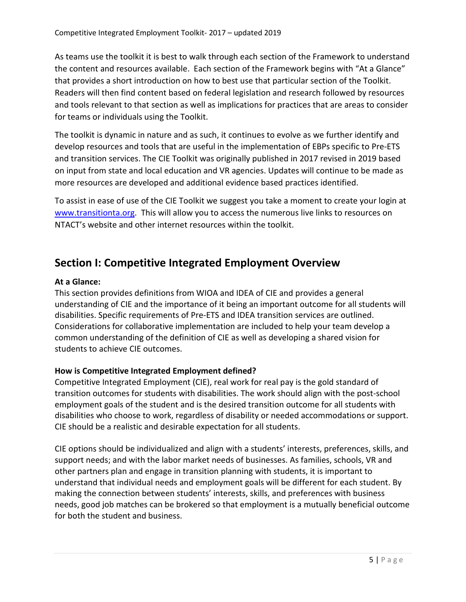As teams use the toolkit it is best to walk through each section of the Framework to understand the content and resources available. Each section of the Framework begins with "At a Glance" that provides a short introduction on how to best use that particular section of the Toolkit. Readers will then find content based on federal legislation and research followed by resources and tools relevant to that section as well as implications for practices that are areas to consider for teams or individuals using the Toolkit.

The toolkit is dynamic in nature and as such, it continues to evolve as we further identify and develop resources and tools that are useful in the implementation of EBPs specific to Pre-ETS and transition services. The CIE Toolkit was originally published in 2017 revised in 2019 based on input from state and local education and VR agencies. Updates will continue to be made as more resources are developed and additional evidence based practices identified.

To assist in ease of use of the CIE Toolkit we suggest you take a moment to create your login at [www.transitionta.org.](http://www.transitionta.org/) This will allow you to access the numerous live links to resources on NTACT's website and other internet resources within the toolkit.

# **Section I: Competitive Integrated Employment Overview**

# **At a Glance:**

This section provides definitions from WIOA and IDEA of CIE and provides a general understanding of CIE and the importance of it being an important outcome for all students will disabilities. Specific requirements of Pre-ETS and IDEA transition services are outlined. Considerations for collaborative implementation are included to help your team develop a common understanding of the definition of CIE as well as developing a shared vision for students to achieve CIE outcomes.

# **How is Competitive Integrated Employment defined?**

Competitive Integrated Employment (CIE), real work for real pay is the gold standard of transition outcomes for students with disabilities. The work should align with the post-school employment goals of the student and is the desired transition outcome for all students with disabilities who choose to work, regardless of disability or needed accommodations or support. CIE should be a realistic and desirable expectation for all students.

CIE options should be individualized and align with a students' interests, preferences, skills, and support needs; and with the labor market needs of businesses. As families, schools, VR and other partners plan and engage in transition planning with students, it is important to understand that individual needs and employment goals will be different for each student. By making the connection between students' interests, skills, and preferences with business needs, good job matches can be brokered so that employment is a mutually beneficial outcome for both the student and business.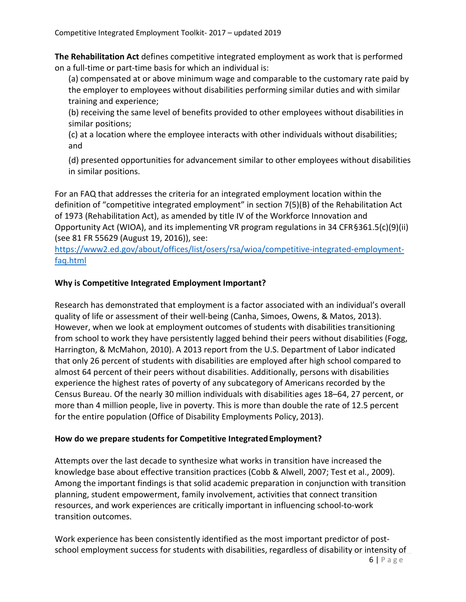**The Rehabilitation Act** defines competitive integrated employment as work that is performed on a full-time or part-time basis for which an individual is:

(a) compensated at or above minimum wage and comparable to the customary rate paid by the employer to employees without disabilities performing similar duties and with similar training and experience;

(b) receiving the same level of benefits provided to other employees without disabilities in similar positions;

(c) at a location where the employee interacts with other individuals without disabilities; and

(d) presented opportunities for advancement similar to other employees without disabilities in similar positions.

For an FAQ that addresses the criteria for an integrated employment location within the definition of "competitive integrated employment" in section 7(5)(B) of the Rehabilitation Act of 1973 (Rehabilitation Act), as amended by title IV of the Workforce Innovation and Opportunity Act (WIOA), and its implementing VR program regulations in 34 CFR§361.5(c)(9)(ii) (see 81 FR 55629 (August 19, 2016)), see:

[https://www2.ed.gov/about/offices/list/osers/rsa/wioa/competitive-integrated-employment](https://www2.ed.gov/about/offices/list/osers/rsa/wioa/competitive-integrated-employment-faq.html)[faq.html](https://www2.ed.gov/about/offices/list/osers/rsa/wioa/competitive-integrated-employment-faq.html)

#### **Why is Competitive Integrated Employment Important?**

Research has demonstrated that employment is a factor associated with an individual's overall quality of life or assessment of their well-being (Canha, Simoes, Owens, & Matos, 2013). However, when we look at employment outcomes of students with disabilities transitioning from school to work they have persistently lagged behind their peers without disabilities (Fogg, Harrington, & McMahon, 2010). A 2013 report from the U.S. Department of Labor indicated that only 26 percent of students with disabilities are employed after high school compared to almost 64 percent of their peers without disabilities. Additionally, persons with disabilities experience the highest rates of poverty of any subcategory of Americans recorded by the Census Bureau. Of the nearly 30 million individuals with disabilities ages 18–64, 27 percent, or more than 4 million people, live in poverty. This is more than double the rate of 12.5 percent for the entire population (Office of Disability Employments Policy, 2013).

#### **How do we prepare students for Competitive IntegratedEmployment?**

Attempts over the last decade to synthesize what works in transition have increased the knowledge base about effective transition practices (Cobb & Alwell, 2007; Test et al., 2009). Among the important findings is that solid academic preparation in conjunction with transition planning, student empowerment, family involvement, activities that connect transition resources, and work experiences are critically important in influencing school-to-work transition outcomes.

Work experience has been consistently identified as the most important predictor of postschool employment success for students with disabilities, regardless of disability or intensity of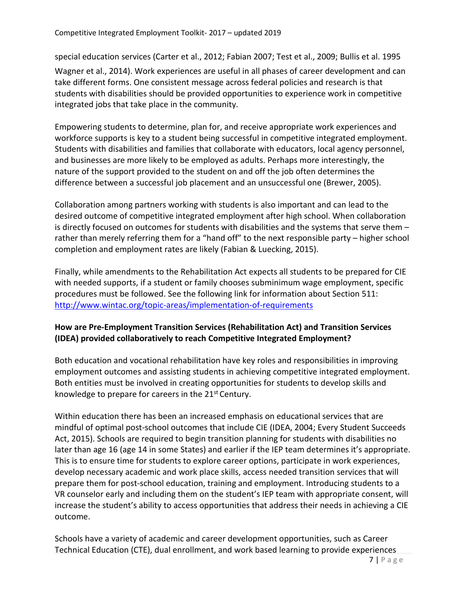special education services (Carter et al., 2012; Fabian 2007; Test et al., 2009; Bullis et al. 1995

Wagner et al., 2014). Work experiences are useful in all phases of career development and can take different forms. One consistent message across federal policies and research is that students with disabilities should be provided opportunities to experience work in competitive integrated jobs that take place in the community.

Empowering students to determine, plan for, and receive appropriate work experiences and workforce supports is key to a student being successful in competitive integrated employment. Students with disabilities and families that collaborate with educators, local agency personnel, and businesses are more likely to be employed as adults. Perhaps more interestingly, the nature of the support provided to the student on and off the job often determines the difference between a successful job placement and an unsuccessful one (Brewer, 2005).

Collaboration among partners working with students is also important and can lead to the desired outcome of competitive integrated employment after high school. When collaboration is directly focused on outcomes for students with disabilities and the systems that serve them – rather than merely referring them for a "hand off" to the next responsible party – higher school completion and employment rates are likely (Fabian & Luecking, 2015).

Finally, while amendments to the Rehabilitation Act expects all students to be prepared for CIE with needed supports, if a student or family chooses subminimum wage employment, specific procedures must be followed. See the following link for information about Section 511: <http://www.wintac.org/topic-areas/implementation-of-requirements>

# **How are Pre-Employment Transition Services (Rehabilitation Act) and Transition Services (IDEA) provided collaboratively to reach Competitive Integrated Employment?**

Both education and vocational rehabilitation have key roles and responsibilities in improving employment outcomes and assisting students in achieving competitive integrated employment. Both entities must be involved in creating opportunities for students to develop skills and knowledge to prepare for careers in the 21st Century.

Within education there has been an increased emphasis on educational services that are mindful of optimal post-school outcomes that include CIE (IDEA, 2004; Every Student Succeeds Act, 2015). Schools are required to begin transition planning for students with disabilities no later than age 16 (age 14 in some States) and earlier if the IEP team determines it's appropriate. This is to ensure time for students to explore career options, participate in work experiences, develop necessary academic and work place skills, access needed transition services that will prepare them for post-school education, training and employment. Introducing students to a VR counselor early and including them on the student's IEP team with appropriate consent, will increase the student's ability to access opportunities that address their needs in achieving a CIE outcome.

Schools have a variety of academic and career development opportunities, such as Career Technical Education (CTE), dual enrollment, and work based learning to provide experiences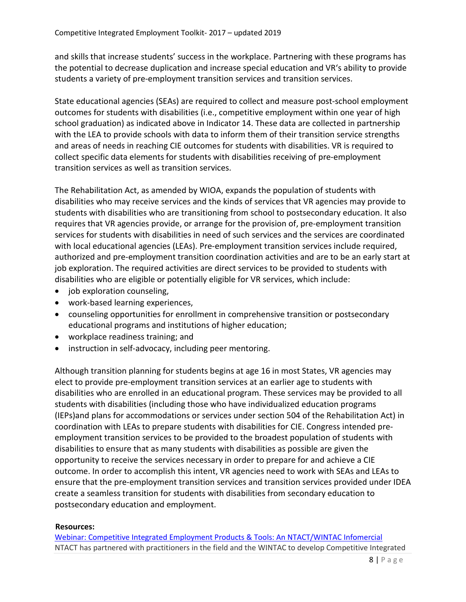and skills that increase students' success in the workplace. Partnering with these programs has the potential to decrease duplication and increase special education and VR's ability to provide students a variety of pre-employment transition services and transition services.

State educational agencies (SEAs) are required to collect and measure post-school employment outcomes for students with disabilities (i.e., competitive employment within one year of high school graduation) as indicated above in Indicator 14. These data are collected in partnership with the LEA to provide schools with data to inform them of their transition service strengths and areas of needs in reaching CIE outcomes for students with disabilities. VR is required to collect specific data elements for students with disabilities receiving of pre-employment transition services as well as transition services.

The Rehabilitation Act, as amended by WIOA, expands the population of students with disabilities who may receive services and the kinds of services that VR agencies may provide to students with disabilities who are transitioning from school to postsecondary education. It also requires that VR agencies provide, or arrange for the provision of, pre-employment transition services for students with disabilities in need of such services and the services are coordinated with local educational agencies (LEAs). Pre-employment transition services include required, authorized and pre-employment transition coordination activities and are to be an early start at job exploration. The required activities are direct services to be provided to students with disabilities who are eligible or potentially eligible for VR services, which include:

- job exploration counseling,
- work-based learning experiences,
- counseling opportunities for enrollment in comprehensive transition or postsecondary educational programs and institutions of higher education;
- workplace readiness training; and
- instruction in self-advocacy, including peer mentoring.

Although transition planning for students begins at age 16 in most States, VR agencies may elect to provide pre-employment transition services at an earlier age to students with disabilities who are enrolled in an educational program. These services may be provided to all students with disabilities (including those who have individualized education programs (IEPs)and plans for accommodations or services under section 504 of the Rehabilitation Act) in coordination with LEAs to prepare students with disabilities for CIE. Congress intended preemployment transition services to be provided to the broadest population of students with disabilities to ensure that as many students with disabilities as possible are given the opportunity to receive the services necessary in order to prepare for and achieve a CIE outcome. In order to accomplish this intent, VR agencies need to work with SEAs and LEAs to ensure that the pre-employment transition services and transition services provided under IDEA create a seamless transition for students with disabilities from secondary education to postsecondary education and employment.

#### **Resources:**

[Webinar: Competitive Integrated Employment Products & Tools: An NTACT/WINTAC Infomercial](https://www.transitionta.org/video/1128) NTACT has partnered with practitioners in the field and the WINTAC to develop Competitive Integrated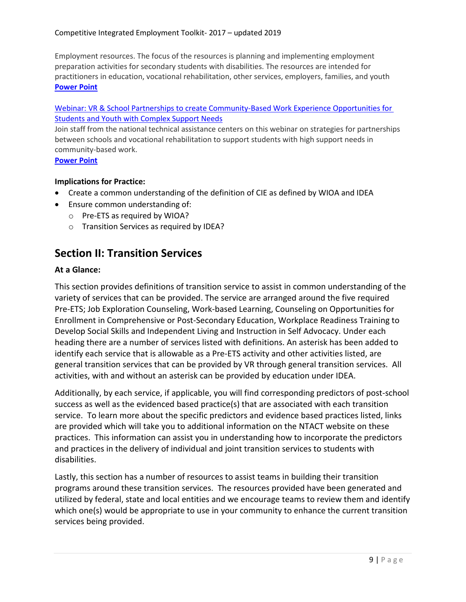Employment resources. The focus of the resources is planning and implementing employment preparation activities for secondary students with disabilities. The resources are intended for practitioners in education, vocational rehabilitation, other services, employers, families, and youth **[Power Point](https://transitionta.org/system/files/events/CIE%20Webinar%20Feb%209%20with%20Self-advocacy%20addition.pdf?file=1&type=node&id=1128&force=0)**

#### Webinar: [VR & School Partnerships to create Community-Based Work Experience Opportunities for](https://transitionta.org/video/1213)  [Students and Youth with Complex Support Needs](https://transitionta.org/video/1213)

Join staff from the national technical assistance centers on this webinar on strategies for partnerships between schools and vocational rehabilitation to support students with high support needs in community-based work.

#### **[Power Point](https://transitionta.org/system/files/events/VR%20and%20School%20Partnerships%203-9-2017.pdf?file=1&type=node&id=1213&force=0)**

#### **Implications for Practice:**

- Create a common understanding of the definition of CIE as defined by WIOA and IDEA
- Ensure common understanding of:
	- o Pre-ETS as required by WIOA?
	- o Transition Services as required by IDEA?

# **Section II: Transition Services**

#### **At a Glance:**

This section provides definitions of transition service to assist in common understanding of the variety of services that can be provided. The service are arranged around the five required Pre-ETS; Job Exploration Counseling, Work-based Learning, Counseling on Opportunities for Enrollment in Comprehensive or Post-Secondary Education, Workplace Readiness Training to Develop Social Skills and Independent Living and Instruction in Self Advocacy. Under each heading there are a number of services listed with definitions. An asterisk has been added to identify each service that is allowable as a Pre-ETS activity and other activities listed, are general transition services that can be provided by VR through general transition services. All activities, with and without an asterisk can be provided by education under IDEA.

Additionally, by each service, if applicable, you will find corresponding predictors of post-school success as well as the evidenced based practice(s) that are associated with each transition service. To learn more about the specific predictors and evidence based practices listed, links are provided which will take you to additional information on the NTACT website on these practices. This information can assist you in understanding how to incorporate the predictors and practices in the delivery of individual and joint transition services to students with disabilities.

Lastly, this section has a number of resources to assist teams in building their transition programs around these transition services. The resources provided have been generated and utilized by federal, state and local entities and we encourage teams to review them and identify which one(s) would be appropriate to use in your community to enhance the current transition services being provided.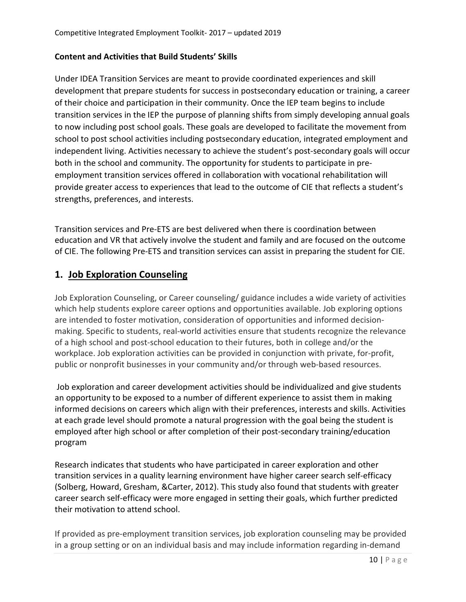#### **Content and Activities that Build Students' Skills**

Under IDEA Transition Services are meant to provide coordinated experiences and skill development that prepare students for success in postsecondary education or training, a career of their choice and participation in their community. Once the IEP team begins to include transition services in the IEP the purpose of planning shifts from simply developing annual goals to now including post school goals. These goals are developed to facilitate the movement from school to post school activities including postsecondary education, integrated employment and independent living. Activities necessary to achieve the student's post-secondary goals will occur both in the school and community. The opportunity for students to participate in preemployment transition services offered in collaboration with vocational rehabilitation will provide greater access to experiences that lead to the outcome of CIE that reflects a student's strengths, preferences, and interests.

Transition services and Pre-ETS are best delivered when there is coordination between education and VR that actively involve the student and family and are focused on the outcome of CIE. The following Pre-ETS and transition services can assist in preparing the student for CIE.

# **1. Job Exploration Counseling**

Job Exploration Counseling, or Career counseling/ guidance includes a wide variety of activities which help students explore career options and opportunities available. Job exploring options are intended to foster motivation, consideration of opportunities and informed decisionmaking. Specific to students, real-world activities ensure that students recognize the relevance of a high school and post-school education to their futures, both in college and/or the workplace. Job exploration activities can be provided in conjunction with private, for-profit, public or nonprofit businesses in your community and/or through web-based resources.

Job exploration and career development activities should be individualized and give students an opportunity to be exposed to a number of different experience to assist them in making informed decisions on careers which align with their preferences, interests and skills. Activities at each grade level should promote a natural progression with the goal being the student is employed after high school or after completion of their post-secondary training/education program

Research indicates that students who have participated in career exploration and other transition services in a quality learning environment have higher career search self-efficacy (Solberg, Howard, Gresham, &Carter, 2012). This study also found that students with greater career search self-efficacy were more engaged in setting their goals, which further predicted their motivation to attend school.

If provided as pre-employment transition services, job exploration counseling may be provided in a group setting or on an individual basis and may include information regarding in-demand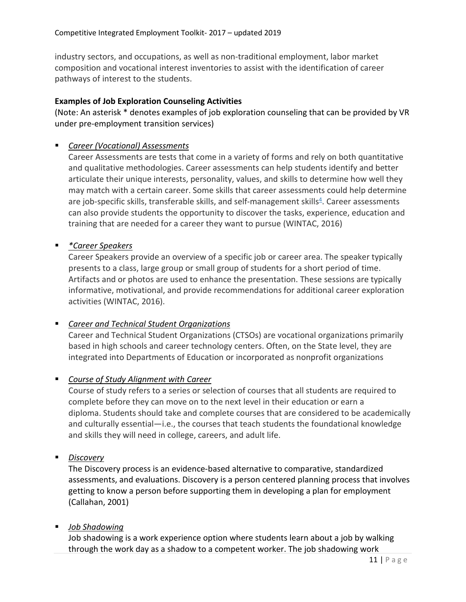industry sectors, and occupations, as well as non-traditional employment, labor market composition and vocational interest inventories to assist with the identification of career pathways of interest to the students.

#### **Examples of Job Exploration Counseling Activities**

(Note: An asterisk \* denotes examples of job exploration counseling that can be provided by VR under pre-employment transition services)

#### *Career (Vocational) Assessments*

Career Assessments are tests that come in a variety of forms and rely on both quantitative and qualitative methodologies. Career assessments can help students identify and better articulate their unique interests, personality, values, and skills to determine how well they may match with a certain career. Some skills that career assessments could help determine are job-specific skills, transferable skills, and self-management skills $4$ . Career assessments can also provide students the opportunity to discover the tasks, experience, education and training that are needed for a career they want to pursue (WINTAC, 2016)

#### *\*Career Speakers*

Career Speakers provide an overview of a specific job or career area. The speaker typically presents to a class, large group or small group of students for a short period of time. Artifacts and or photos are used to enhance the presentation. These sessions are typically informative, motivational, and provide recommendations for additional career exploration activities (WINTAC, 2016).

# *Career and Technical Student Organizations*

Career and Technical Student Organizations (CTSOs) are vocational organizations primarily based in high schools and career technology centers. Often, on the State level, they are integrated into Departments of Education or incorporated as nonprofit organizations

# *Course of Study Alignment with Career*

Course of study refers to a series or selection of courses that all students are required to complete before they can move on to the next level in their education or earn a diploma. Students should take and complete courses that are considered to be academically and culturally essential—i.e., the courses that teach students the foundational knowledge and skills they will need in college, careers, and adult life.

#### *Discovery*

The Discovery process is an evidence-based alternative to comparative, standardized assessments, and evaluations. Discovery is a person centered planning process that involves getting to know a person before supporting them in developing a plan for employment (Callahan, 2001)

# *Job Shadowing*

Job shadowing is a work experience option where students learn about a job by walking through the work day as a shadow to a competent worker. The job shadowing work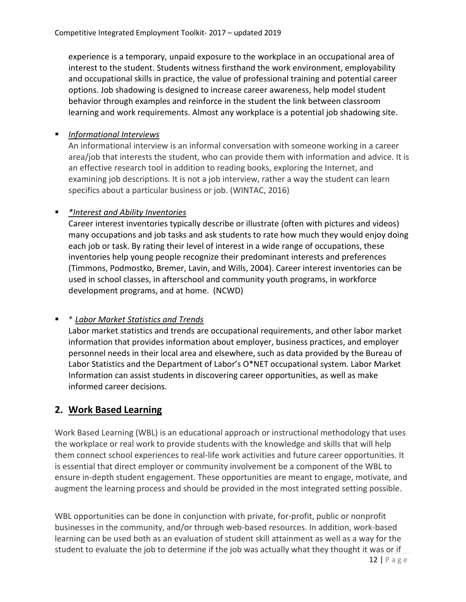experience is a temporary, unpaid exposure to the workplace in an occupational area of interest to the student. Students witness firsthand the work environment, employability and occupational skills in practice, the value of professional training and potential career options. Job shadowing is designed to increase career awareness, help model student behavior through examples and reinforce in the student the link between classroom learning and work requirements. Almost any workplace is a potential job shadowing site.

# *Informational Interviews*

An informational interview is an informal conversation with someone working in a career area/job that interests the student, who can provide them with information and advice. It is an effective research tool in addition to reading books, exploring the Internet, and examining job descriptions. It is not a job interview, rather a way the student can learn specifics about a particular business or job. (WINTAC, 2016)

# *\*Interest and Ability Inventories*

Career interest inventories typically describe or illustrate (often with pictures and videos) many occupations and job tasks and ask students to rate how much they would enjoy doing each job or task. By rating their level of interest in a wide range of occupations, these inventories help young people recognize their predominant interests and preferences (Timmons, Podmostko, Bremer, Lavin, and Wills, 2004). Career interest inventories can be used in school classes, in afterschool and community youth programs, in workforce development programs, and at home. (NCWD)

# \* *Labor Market Statistics and Trends*

Labor market statistics and trends are occupational requirements, and other labor market information that provides information about employer, business practices, and employer personnel needs in their local area and elsewhere, such as data provided by the Bureau of Labor Statistics and the Department of Labor's O\*NET occupational system. Labor Market Information can assist students in discovering career opportunities, as well as make informed career decisions.

# **2. Work Based Learning**

Work Based Learning (WBL) is an educational approach or instructional methodology that uses the workplace or real work to provide students with the knowledge and skills that will help them connect school experiences to real-life work activities and future career opportunities. It is essential that direct employer or community involvement be a component of the WBL to ensure in-depth student engagement. These opportunities are meant to engage, motivate, and augment the learning process and should be provided in the most integrated setting possible.

WBL opportunities can be done in conjunction with private, for-profit, public or nonprofit businesses in the community, and/or through web-based resources. In addition, work-based learning can be used both as an evaluation of student skill attainment as well as a way for the student to evaluate the job to determine if the job was actually what they thought it was or if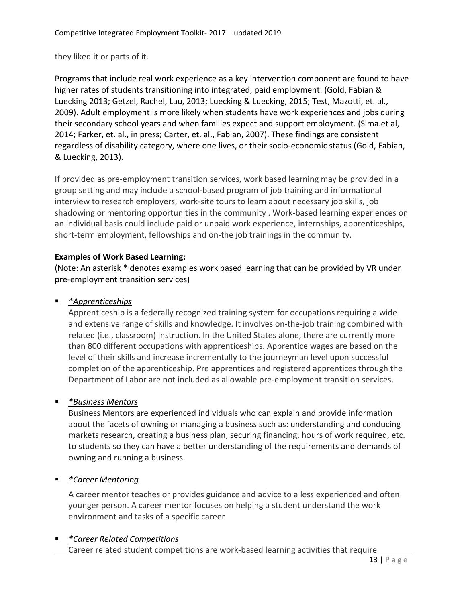they liked it or parts of it.

Programs that include real work experience as a key intervention component are found to have higher rates of students transitioning into integrated, paid employment. (Gold, Fabian & Luecking 2013; Getzel, Rachel, Lau, 2013; Luecking & Luecking, 2015; Test, Mazotti, et. al., 2009). Adult employment is more likely when students have work experiences and jobs during their secondary school years and when families expect and support employment. (Sima.et al, 2014; Farker, et. al., in press; Carter, et. al., Fabian, 2007). These findings are consistent regardless of disability category, where one lives, or their socio-economic status (Gold, Fabian, & Luecking, 2013).

If provided as pre-employment transition services, work based learning may be provided in a group setting and may include a school-based program of job training and informational interview to research employers, work-site tours to learn about necessary job skills, job shadowing or mentoring opportunities in the community . Work-based learning experiences on an individual basis could include paid or unpaid work experience, internships, apprenticeships, short-term employment, fellowships and on-the job trainings in the community.

# **Examples of Work Based Learning:**

(Note: An asterisk \* denotes examples work based learning that can be provided by VR under pre-employment transition services)

# *\*Apprenticeships*

Apprenticeship is a federally recognized training system for occupations requiring a wide and extensive range of skills and knowledge. It involves on-the-job training combined with related (i.e., classroom) Instruction. In the United States alone, there are currently more than 800 different occupations with apprenticeships. Apprentice wages are based on the level of their skills and increase incrementally to the journeyman level upon successful completion of the apprenticeship. Pre apprentices and registered apprentices through the Department of Labor are not included as allowable pre-employment transition services.

# *\*Business Mentors*

Business Mentors are experienced individuals who can explain and provide information about the facets of owning or managing a business such as: understanding and conducing markets research, creating a business plan, securing financing, hours of work required, etc. to students so they can have a better understanding of the requirements and demands of owning and running a business.

# *\*Career Mentoring*

A career mentor teaches or provides guidance and advice to a less experienced and often younger person. A career mentor focuses on helping a student understand the work environment and tasks of a specific career

# *\*Career Related Competitions*

Career related student competitions are work-based learning activities that require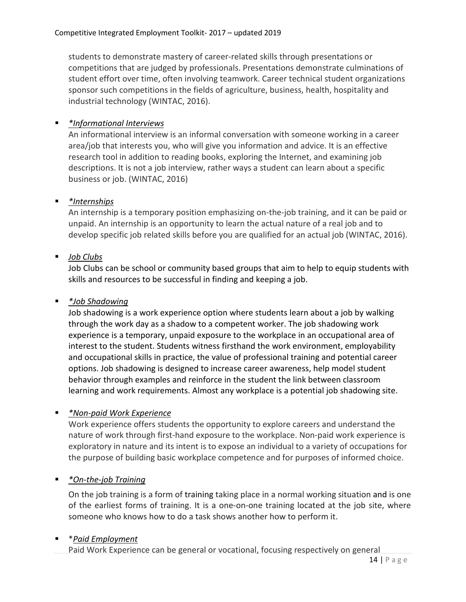students to demonstrate mastery of career-related skills through presentations or competitions that are judged by professionals. Presentations demonstrate culminations of student effort over time, often involving teamwork. Career technical student organizations sponsor such competitions in the fields of agriculture, business, health, hospitality and industrial technology (WINTAC, 2016).

# *\*Informational Interviews*

An informational interview is an informal conversation with someone working in a career area/job that interests you, who will give you information and advice. It is an effective research tool in addition to reading books, exploring the Internet, and examining job descriptions. It is not a job interview, rather ways a student can learn about a specific business or job. (WINTAC, 2016)

# *\*Internships*

An internship is a temporary position emphasizing on-the-job training, and it can be paid or unpaid. An internship is an opportunity to learn the actual nature of a real job and to develop specific job related skills before you are qualified for an actual job (WINTAC, 2016).

# *Job Clubs*

Job Clubs can be school or community based groups that aim to help to equip students with skills and resources to be successful in finding and keeping a job.

# *\*Job Shadowing*

Job shadowing is a work experience option where students learn about a job by walking through the work day as a shadow to a competent worker. The job shadowing work experience is a temporary, unpaid exposure to the workplace in an occupational area of interest to the student. Students witness firsthand the work environment, employability and occupational skills in practice, the value of professional training and potential career options. Job shadowing is designed to increase career awareness, help model student behavior through examples and reinforce in the student the link between classroom learning and work requirements. Almost any workplace is a potential job shadowing site.

# *\*Non-paid Work Experience*

Work experience offers students the opportunity to explore careers and understand the nature of work through first-hand exposure to the workplace. Non-paid work experience is exploratory in nature and its intent is to expose an individual to a variety of occupations for the purpose of building basic workplace competence and for purposes of informed choice.

# *\*On-the-job Training*

On the job training is a form o[f training t](https://en.wikipedia.org/wiki/Training)aking place in a normal working situation and is one of the earliest forms of training. It is a one-on-one training located at the job site, where someone who knows how to do a task shows another how to perform it.

# \**Paid Employment*

Paid Work Experience can be general or vocational, focusing respectively on general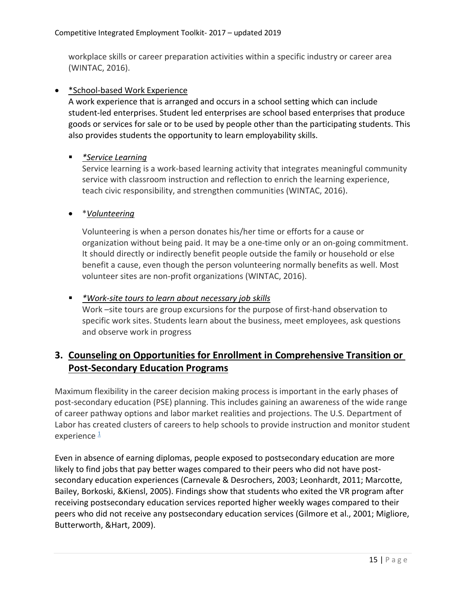workplace skills or career preparation activities within a specific industry or career area (WINTAC, 2016).

#### • \*School-based Work Experience

A work experience that is arranged and occurs in a school setting which can include student-led enterprises. Student led enterprises are school based enterprises that produce goods or services for sale or to be used by people other than the participating students. This also provides students the opportunity to learn employability skills.

#### *\*Service Learning*

Service learning is a work-based learning activity that integrates meaningful community service with classroom instruction and reflection to enrich the learning experience, teach civic responsibility, and strengthen communities (WINTAC, 2016).

# • \**Volunteering*

Volunteering is when a person donates his/her time or efforts for a cause or organization without being paid. It may be a one-time only or an on-going commitment. It should directly or indirectly benefit people outside the family or household or else benefit a cause, even though the person volunteering normally benefits as well. Most volunteer sites are non-profit organizations (WINTAC, 2016).

#### *\*Work-site tours to learn about necessary job skills*

Work –site tours are group excursions for the purpose of first-hand observation to specific work sites. Students learn about the business, meet employees, ask questions and observe work in progress

# **3. Counseling on Opportunities for Enrollment in Comprehensive Transition or Post-Secondary Education Programs**

Maximum flexibility in the career decision making process is important in the early phases of post-secondary education (PSE) planning. This includes gaining an awareness of the wide range of career pathway options and labor market realities and projections. The U.S. Department of Labor has created clusters of careers to help schools to provide instruction and monitor student experience  $\frac{1}{2}$ 

Even in absence of earning diplomas, people exposed to postsecondary education are more likely to find jobs that pay better wages compared to their peers who did not have postsecondary education experiences (Carnevale & Desrochers, 2003; Leonhardt, 2011; Marcotte, Bailey, Borkoski, &Kiensl, 2005). Findings show that students who exited the VR program after receiving postsecondary education services reported higher weekly wages compared to their peers who did not receive any postsecondary education services (Gilmore et al., 2001; Migliore, Butterworth, &Hart, 2009).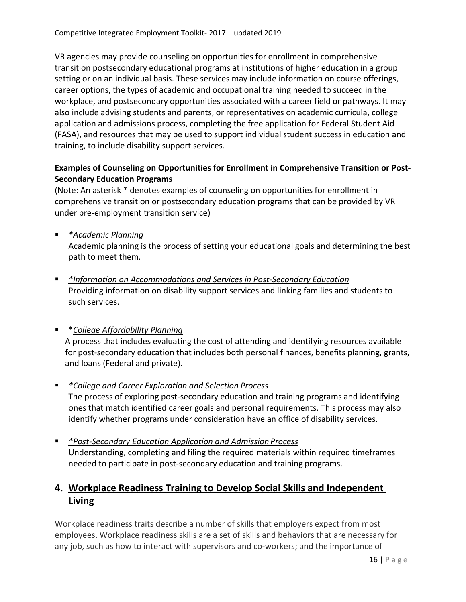VR agencies may provide counseling on opportunities for enrollment in comprehensive transition postsecondary educational programs at institutions of higher education in a group setting or on an individual basis. These services may include information on course offerings, career options, the types of academic and occupational training needed to succeed in the workplace, and postsecondary opportunities associated with a career field or pathways. It may also include advising students and parents, or representatives on academic curricula, college application and admissions process, completing the free application for Federal Student Aid (FASA), and resources that may be used to support individual student success in education and training, to include disability support services.

# **Examples of Counseling on Opportunities for Enrollment in Comprehensive Transition or Post-Secondary Education Programs**

(Note: An asterisk \* denotes examples of counseling on opportunities for enrollment in comprehensive transition or postsecondary education programs that can be provided by VR under pre-employment transition service)

*\*Academic Planning*

Academic planning is the process of setting your educational goals and determining the best path to meet them*.*

 *\*Information on Accommodations and Services in Post-Secondary Education* Providing information on disability support services and linking families and students to such services.

# \**College Affordability Planning*

A process that includes evaluating the cost of attending and identifying resources available for post-secondary education that includes both personal finances, benefits planning, grants, and loans (Federal and private).

- *\*College and Career Exploration and Selection Process* The process of exploring post-secondary education and training programs and identifying ones that match identified career goals and personal requirements. This process may also identify whether programs under consideration have an office of disability services.
- *\*Post-Secondary Education Application and Admission Process* Understanding, completing and filing the required materials within required timeframes needed to participate in post-secondary education and training programs.

# **4. Workplace Readiness Training to Develop Social Skills and Independent Living**

Workplace readiness traits describe a number of skills that employers expect from most employees. Workplace readiness skills are a set of skills and behaviors that are necessary for any job, such as how to interact with supervisors and co-workers; and the importance of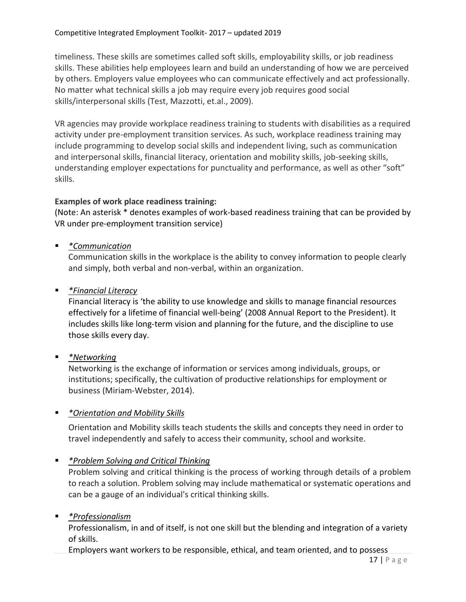timeliness. These skills are sometimes called soft skills, employability skills, or job readiness skills. These abilities help employees learn and build an understanding of how we are perceived by others. Employers value employees who can communicate effectively and act professionally. No matter what technical skills a job may require every job requires good social skills/interpersonal skills (Test, Mazzotti, et.al., 2009).

VR agencies may provide workplace readiness training to students with disabilities as a required activity under pre-employment transition services. As such, workplace readiness training may include programming to develop social skills and independent living, such as communication and interpersonal skills, financial literacy, orientation and mobility skills, job-seeking skills, understanding employer expectations for punctuality and performance, as well as other "soft" skills.

# **Examples of work place readiness training:**

(Note: An asterisk \* denotes examples of work-based readiness training that can be provided by VR under pre-employment transition service)

*\*Communication*

Communication skills in the workplace is the ability to convey information to people clearly and simply, both verbal and non-verbal, within an organization.

*\*Financial Literacy*

Financial literacy is 'the ability to use knowledge and skills to manage financial resources effectively for a lifetime of financial well-being' (2008 Annual Report to the President). It includes skills like long-term vision and planning for the future, and the discipline to use those skills every day.

*\*Networking*

Networking is the exchange of information or services among individuals, groups, or institutions; specifically, the cultivation of productive relationships for employment or business (Miriam-Webster, 2014).

# *\*Orientation and Mobility Skills*

Orientation and Mobility skills teach students the skills and concepts they need in order to travel independently and safely to access their community, school and worksite.

# *\*Problem Solving and Critical Thinking*

Problem solving and critical thinking is the process of working through details of a problem to reach a solution. Problem solving may include mathematical or systematic operations and can be a gauge of an individual's critical thinking skills.

# *\*Professionalism*

Professionalism, in and of itself, is not one skill but the blending and integration of a variety of skills.

Employers want workers to be responsible, ethical, and team oriented, and to possess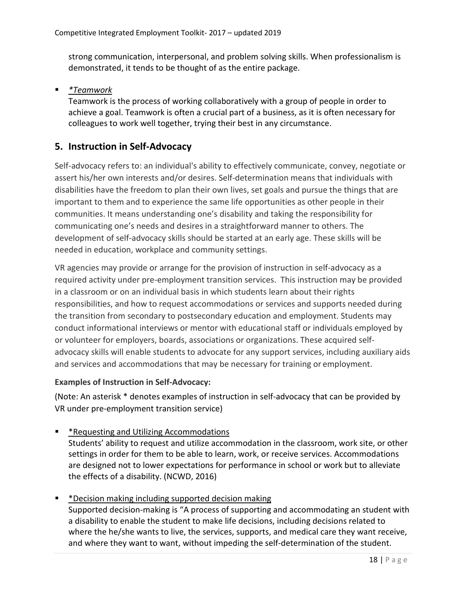strong communication, interpersonal, and problem solving skills. When professionalism is demonstrated, it tends to be thought of as the entire package.

*\*Teamwork*

Teamwork is the process of working collaboratively with a group of people in order to achieve a goal. Teamwork is often a crucial part of a business, as it is often necessary for colleagues to work well together, trying their best in any circumstance.

# **5. Instruction in Self-Advocacy**

Self*-*advocacy refers to: an individual's ability to effectively communicate, convey, negotiate or assert his/her own interests and/or desires. Self-determination means that individuals with disabilities have the freedom to plan their own lives, set goals and pursue the things that are important to them and to experience the same life opportunities as other people in their communities. It means understanding one's disability and taking the responsibility for communicating one's needs and desires in a straightforward manner to others. The development of self-advocacy skills should be started at an early age. These skills will be needed in education, workplace and community settings.

VR agencies may provide or arrange for the provision of instruction in self-advocacy as a required activity under pre-employment transition services. This instruction may be provided in a classroom or on an individual basis in which students learn about their rights responsibilities, and how to request accommodations or services and supports needed during the transition from secondary to postsecondary education and employment. Students may conduct informational interviews or mentor with educational staff or individuals employed by or volunteer for employers, boards, associations or organizations. These acquired selfadvocacy skills will enable students to advocate for any support services, including auxiliary aids and services and accommodations that may be necessary for training or employment.

# **Examples of Instruction in Self-Advocacy:**

(Note: An asterisk \* denotes examples of instruction in self-advocacy that can be provided by VR under pre-employment transition service)

\*Requesting and Utilizing Accommodations

Students' ability to request and utilize accommodation in the classroom, work site, or other settings in order for them to be able to learn, work, or receive services. Accommodations are designed not to lower expectations for performance in school or work but to alleviate the effects of a disability. (NCWD, 2016)

\*Decision making including supported decision making

Supported decision-making is "A process of supporting and accommodating an student with a disability to enable the student to make life decisions, including decisions related to where the he/she wants to live, the services, supports, and medical care they want receive, and where they want to want, without impeding the self-determination of the student.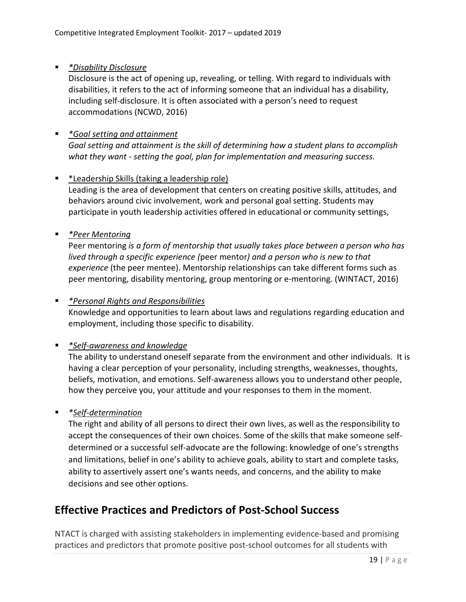# *\*Disability Disclosure*

Disclosure is the act of opening up, revealing, or telling. With regard to individuals with disabilities, it refers to the act of informing someone that an individual has a disability, including self-disclosure. It is often associated with a person's need to request accommodations (NCWD, 2016)

# *\*Goal setting and attainment Goal setting and attainment is the skill of determining how a student plans to accomplish what they want - setting the goal, plan for implementation and measuring success.*

#### \*Leadership Skills (taking a leadership role)

Leading is the area of development that centers on creating positive skills, attitudes, and behaviors around civic involvement, work and personal goal setting. Students may participate in youth leadership activities offered in educational or community settings,

# *\*Peer Mentoring*

Peer mentoring *is a form of mentorship that usually takes place between a person who has lived through a specific experience (*peer mentor*) and a person who is new to that experience* (the peer mentee). Mentorship relationships can take different forms such as peer mentoring, disability mentoring, group mentoring or e-mentoring. (WINTACT, 2016)

# *\*Personal Rights and Responsibilities*

Knowledge and opportunities to learn about laws and regulations regarding education and employment, including those specific to disability.

# *\*Self-awareness and knowledge*

The ability to understand oneself separate from the environment and other individuals. It is having a clear perception of your personality, including strengths, weaknesses, thoughts, beliefs, motivation, and emotions. Self-awareness allows you to understand other people, how they perceive you, your attitude and your responses to them in the moment.

# *\*Self-determination*

The right and ability of all persons to direct their own lives, as well as the responsibility to accept the consequences of their own choices. Some of the skills that make someone selfdetermined or a successful self-advocate are the following: knowledge of one's strengths and limitations, belief in one's ability to achieve goals, ability to start and complete tasks, ability to assertively assert one's wants needs, and concerns, and the ability to make decisions and see other options.

# **Effective Practices and Predictors of Post-School Success**

NTACT is charged with assisting stakeholders in implementing evidence-based and promising practices and predictors that promote positive post-school outcomes for all students with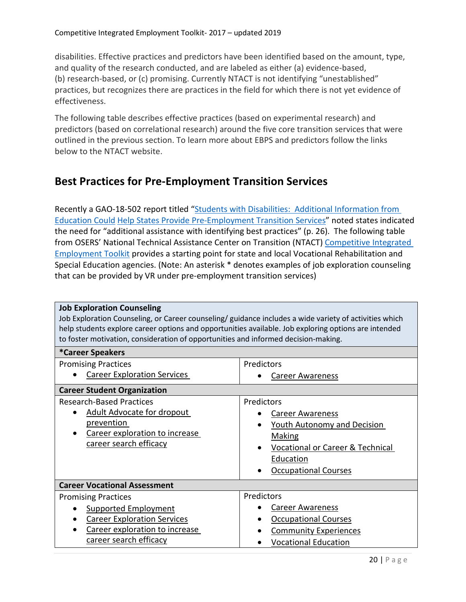disabilities. Effective practices and predictors have been identified based on the amount, type, and quality of the research conducted, and are labeled as either (a) evidence-based, (b) research-based, or (c) promising. Currently NTACT is not identifying "unestablished" practices, but recognizes there are practices in the field for which there is not yet evidence of effectiveness.

The following table describes effective practices (based on experimental research) and predictors (based on correlational research) around the five core transition services that were outlined in the previous section. To learn more about EBPS and predictors follow the links below to the NTACT website.

# **Best Practices for Pre-Employment Transition Services**

Recently a GAO-18-502 report titled "Students with Disabilities: Additional [Information from](https://www.gao.gov/products/GAO-18-502) [Education Could](https://www.gao.gov/products/GAO-18-502) Help States Provide [Pre-Employment Transition](https://www.gao.gov/products/GAO-18-502) Services" noted states indicated the need for "additional assistance with identifying best practices" (p. 26). The following table from OSERS' National Technical Assistance Center on Transition (NTACT) [Competitive](https://www.transitionta.org/cietoolkit) Integrated [Employment Toolkit](https://www.transitionta.org/cietoolkit) provides a starting point for state and local Vocational Rehabilitation and Special Education agencies. (Note: An asterisk \* denotes examples of job exploration counseling that can be provided by VR under pre-employment transition services)

| <b>Job Exploration Counseling</b><br>Job Exploration Counseling, or Career counseling/ guidance includes a wide variety of activities which<br>help students explore career options and opportunities available. Job exploring options are intended<br>to foster motivation, consideration of opportunities and informed decision-making. |                                                                                                                                                                                         |  |
|-------------------------------------------------------------------------------------------------------------------------------------------------------------------------------------------------------------------------------------------------------------------------------------------------------------------------------------------|-----------------------------------------------------------------------------------------------------------------------------------------------------------------------------------------|--|
| <i><b>*Career Speakers</b></i>                                                                                                                                                                                                                                                                                                            |                                                                                                                                                                                         |  |
| <b>Promising Practices</b><br><b>Career Exploration Services</b>                                                                                                                                                                                                                                                                          | Predictors<br><b>Career Awareness</b>                                                                                                                                                   |  |
| <b>Career Student Organization</b>                                                                                                                                                                                                                                                                                                        |                                                                                                                                                                                         |  |
| <b>Research-Based Practices</b><br><b>Adult Advocate for dropout</b><br>prevention<br>Career exploration to increase<br>career search efficacy                                                                                                                                                                                            | Predictors<br><b>Career Awareness</b><br><b>Youth Autonomy and Decision</b><br><b>Making</b><br><b>Vocational or Career &amp; Technical</b><br>Education<br><b>Occupational Courses</b> |  |
| <b>Career Vocational Assessment</b>                                                                                                                                                                                                                                                                                                       |                                                                                                                                                                                         |  |
| <b>Promising Practices</b><br><b>Supported Employment</b><br><b>Career Exploration Services</b><br>Career exploration to increase<br>career search efficacy                                                                                                                                                                               | Predictors<br><b>Career Awareness</b><br><b>Occupational Courses</b><br><b>Community Experiences</b><br><b>Vocational Education</b>                                                     |  |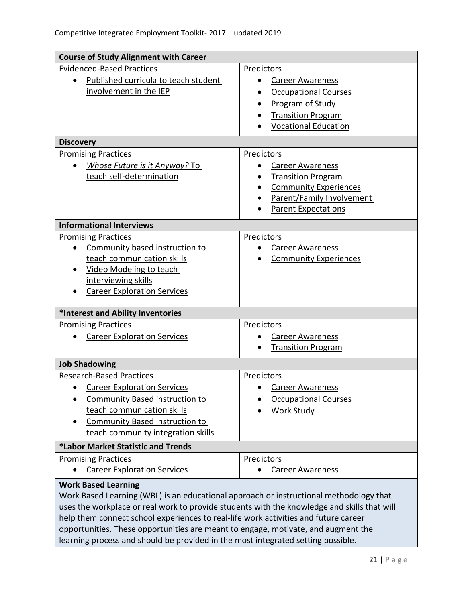| <b>Course of Study Alignment with Career</b>                                                |                                           |  |
|---------------------------------------------------------------------------------------------|-------------------------------------------|--|
| <b>Evidenced-Based Practices</b>                                                            | Predictors                                |  |
| Published curricula to teach student<br>$\bullet$                                           | <b>Career Awareness</b><br>$\bullet$      |  |
| involvement in the IEP                                                                      | <b>Occupational Courses</b>               |  |
|                                                                                             | Program of Study                          |  |
|                                                                                             | <b>Transition Program</b>                 |  |
|                                                                                             | <b>Vocational Education</b>               |  |
| <b>Discovery</b>                                                                            |                                           |  |
| <b>Promising Practices</b>                                                                  | Predictors                                |  |
| Whose Future is it Anyway? To                                                               | <b>Career Awareness</b>                   |  |
| teach self-determination                                                                    | <b>Transition Program</b><br>$\bullet$    |  |
|                                                                                             | <b>Community Experiences</b><br>$\bullet$ |  |
|                                                                                             | Parent/Family Involvement<br>٠            |  |
|                                                                                             | <b>Parent Expectations</b>                |  |
| <b>Informational Interviews</b>                                                             |                                           |  |
| <b>Promising Practices</b>                                                                  | Predictors                                |  |
| Community based instruction to<br>$\bullet$                                                 | <b>Career Awareness</b><br>$\bullet$      |  |
| teach communication skills                                                                  | <b>Community Experiences</b>              |  |
| <b>Video Modeling to teach</b>                                                              |                                           |  |
| interviewing skills                                                                         |                                           |  |
| <b>Career Exploration Services</b>                                                          |                                           |  |
| *Interest and Ability Inventories                                                           |                                           |  |
| <b>Promising Practices</b>                                                                  | Predictors                                |  |
| <b>Career Exploration Services</b>                                                          | <b>Career Awareness</b>                   |  |
|                                                                                             | <b>Transition Program</b>                 |  |
| <b>Job Shadowing</b>                                                                        |                                           |  |
| <b>Research-Based Practices</b>                                                             | Predictors                                |  |
| <b>Career Exploration Services</b>                                                          | <b>Career Awareness</b>                   |  |
| <b>Community Based instruction to</b>                                                       | <b>Occupational Courses</b>               |  |
| teach communication skills                                                                  | <b>Work Study</b>                         |  |
| Community Based instruction to                                                              |                                           |  |
| teach community integration skills                                                          |                                           |  |
| *Labor Market Statistic and Trends                                                          |                                           |  |
| <b>Promising Practices</b>                                                                  | Predictors                                |  |
| <b>Career Exploration Services</b>                                                          | <b>Career Awareness</b>                   |  |
| <b>Work Based Learning</b>                                                                  |                                           |  |
| Work Based Learning (WBL) is an educational approach or instructional methodology that      |                                           |  |
| uses the workplace or real work to provide students with the knowledge and skills that will |                                           |  |
| help them connect school experiences to real-life work activities and future career         |                                           |  |
| opportunities. These opportunities are meant to engage, motivate, and augment the           |                                           |  |
| learning process and should be provided in the most integrated setting possible.            |                                           |  |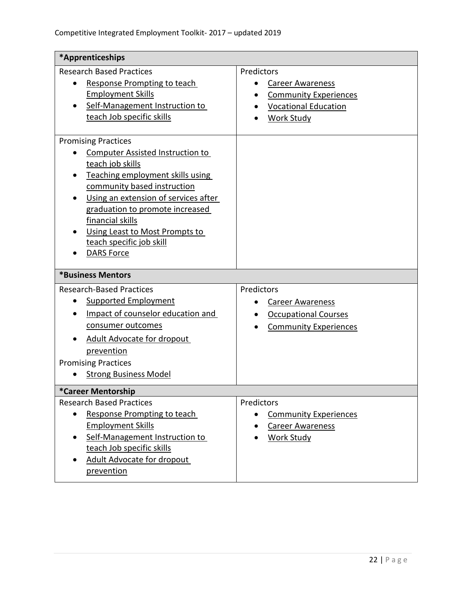| *Apprenticeships                                                                                                                                                                                                                                                                                                 |                                                                                                                                             |
|------------------------------------------------------------------------------------------------------------------------------------------------------------------------------------------------------------------------------------------------------------------------------------------------------------------|---------------------------------------------------------------------------------------------------------------------------------------------|
| <b>Research Based Practices</b><br>Response Prompting to teach<br><b>Employment Skills</b><br>Self-Management Instruction to<br>teach Job specific skills                                                                                                                                                        | Predictors<br><b>Career Awareness</b><br><b>Community Experiences</b><br><b>Vocational Education</b><br><b>Work Study</b>                   |
| <b>Promising Practices</b>                                                                                                                                                                                                                                                                                       |                                                                                                                                             |
| <b>Computer Assisted Instruction to</b><br>teach job skills<br>Teaching employment skills using<br>community based instruction<br>Using an extension of services after<br>graduation to promote increased<br>financial skills<br>Using Least to Most Prompts to<br>teach specific job skill<br><b>DARS Force</b> |                                                                                                                                             |
| *Business Mentors                                                                                                                                                                                                                                                                                                |                                                                                                                                             |
| <b>Research-Based Practices</b><br><b>Supported Employment</b><br>Impact of counselor education and<br>consumer outcomes<br><b>Adult Advocate for dropout</b><br>prevention<br><b>Promising Practices</b><br><b>Strong Business Model</b>                                                                        | Predictors<br><b>Career Awareness</b><br>$\bullet$<br><b>Occupational Courses</b><br>$\bullet$<br><b>Community Experiences</b><br>$\bullet$ |
| *Career Mentorship                                                                                                                                                                                                                                                                                               |                                                                                                                                             |
| <b>Research Based Practices</b><br>Response Prompting to teach<br><b>Employment Skills</b><br>Self-Management Instruction to<br>teach Job specific skills<br>Adult Advocate for dropout<br>prevention                                                                                                            | Predictors<br><b>Community Experiences</b><br>$\bullet$<br><b>Career Awareness</b><br><b>Work Study</b>                                     |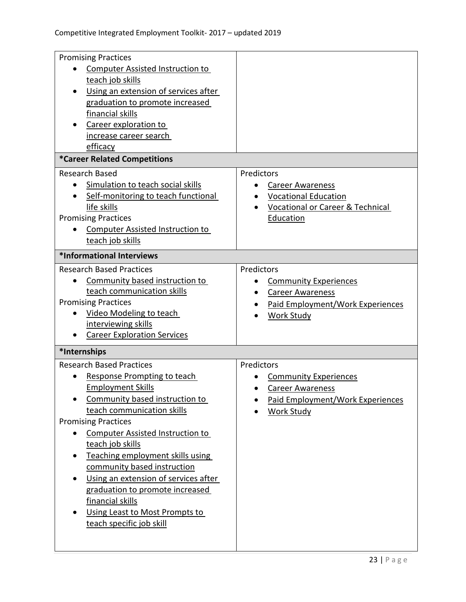| <b>Promising Practices</b>              |                                             |
|-----------------------------------------|---------------------------------------------|
| Computer Assisted Instruction to        |                                             |
| teach job skills                        |                                             |
| Using an extension of services after    |                                             |
| graduation to promote increased         |                                             |
| financial skills                        |                                             |
| Career exploration to                   |                                             |
| increase career search                  |                                             |
| efficacy                                |                                             |
| *Career Related Competitions            |                                             |
| <b>Research Based</b>                   | Predictors                                  |
| Simulation to teach social skills       | <b>Career Awareness</b><br>$\bullet$        |
| Self-monitoring to teach functional     | <b>Vocational Education</b>                 |
| life skills                             | <b>Vocational or Career &amp; Technical</b> |
| <b>Promising Practices</b>              | Education                                   |
| <b>Computer Assisted Instruction to</b> |                                             |
| teach job skills                        |                                             |
| *Informational Interviews               |                                             |
| <b>Research Based Practices</b>         | Predictors                                  |
| Community based instruction to          | <b>Community Experiences</b>                |
| teach communication skills              | <b>Career Awareness</b><br>$\bullet$        |
| <b>Promising Practices</b>              | Paid Employment/Work Experiences            |
| Video Modeling to teach                 | <b>Work Study</b>                           |
| interviewing skills                     |                                             |
| <b>Career Exploration Services</b>      |                                             |
| *Internships                            |                                             |
| <b>Research Based Practices</b>         | Predictors                                  |
| Response Prompting to teach             | <b>Community Experiences</b>                |
| <b>Employment Skills</b>                | <b>Career Awareness</b>                     |
| Community based instruction to          | Paid Employment/Work Experiences            |
| teach communication skills              | <b>Work Study</b>                           |
| <b>Promising Practices</b>              |                                             |
| <b>Computer Assisted Instruction to</b> |                                             |
| teach job skills                        |                                             |
| Teaching employment skills using        |                                             |
| community based instruction             |                                             |
| Using an extension of services after    |                                             |
| graduation to promote increased         |                                             |
| financial skills                        |                                             |
| Using Least to Most Prompts to          |                                             |
| teach specific job skill                |                                             |
|                                         |                                             |
|                                         |                                             |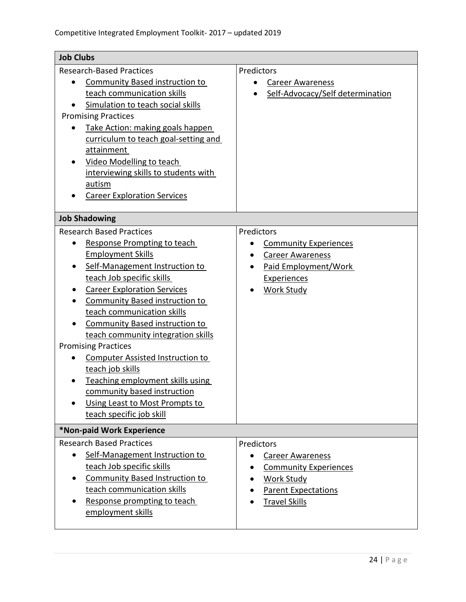| <b>Job Clubs</b>                                                                                                                                                                                                                                                                                                                                                                                                                                                                                                                                                                                 |                                                                                                                                                                    |  |
|--------------------------------------------------------------------------------------------------------------------------------------------------------------------------------------------------------------------------------------------------------------------------------------------------------------------------------------------------------------------------------------------------------------------------------------------------------------------------------------------------------------------------------------------------------------------------------------------------|--------------------------------------------------------------------------------------------------------------------------------------------------------------------|--|
| <b>Research-Based Practices</b><br><b>Community Based instruction to</b><br>teach communication skills<br>Simulation to teach social skills<br><b>Promising Practices</b>                                                                                                                                                                                                                                                                                                                                                                                                                        | Predictors<br><b>Career Awareness</b><br>Self-Advocacy/Self determination                                                                                          |  |
| Take Action: making goals happen<br>curriculum to teach goal-setting and<br>attainment<br><b>Video Modelling to teach</b><br>interviewing skills to students with<br>autism<br><b>Career Exploration Services</b>                                                                                                                                                                                                                                                                                                                                                                                |                                                                                                                                                                    |  |
| <b>Job Shadowing</b>                                                                                                                                                                                                                                                                                                                                                                                                                                                                                                                                                                             |                                                                                                                                                                    |  |
| <b>Research Based Practices</b><br>Response Prompting to teach<br>$\bullet$<br><b>Employment Skills</b><br>Self-Management Instruction to<br>teach Job specific skills<br><b>Career Exploration Services</b><br><b>Community Based instruction to</b><br>teach communication skills<br><b>Community Based instruction to</b><br>teach community integration skills<br><b>Promising Practices</b><br><b>Computer Assisted Instruction to</b><br>teach job skills<br>Teaching employment skills using<br>community based instruction<br>Using Least to Most Prompts to<br>teach specific job skill | Predictors<br><b>Community Experiences</b><br>$\bullet$<br><b>Career Awareness</b><br>$\bullet$<br>Paid Employment/Work<br><b>Experiences</b><br><b>Work Study</b> |  |
| *Non-paid Work Experience<br><b>Research Based Practices</b><br>Self-Management Instruction to<br>teach Job specific skills<br><b>Community Based Instruction to</b><br>$\bullet$<br>teach communication skills<br>Response prompting to teach<br>employment skills                                                                                                                                                                                                                                                                                                                              | Predictors<br><b>Career Awareness</b><br>$\bullet$<br><b>Community Experiences</b><br>Work Study<br><b>Parent Expectations</b><br><b>Travel Skills</b>             |  |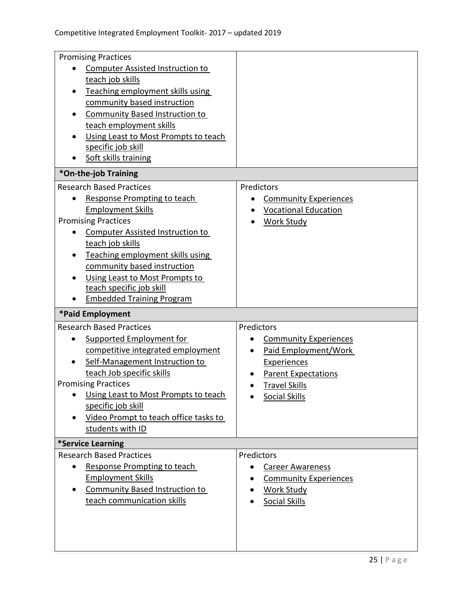| <b>Promising Practices</b>               |                                           |
|------------------------------------------|-------------------------------------------|
| <b>Computer Assisted Instruction to</b>  |                                           |
| teach job skills                         |                                           |
| Teaching employment skills using         |                                           |
| community based instruction              |                                           |
| <b>Community Based Instruction to</b>    |                                           |
| teach employment skills                  |                                           |
| Using Least to Most Prompts to teach     |                                           |
| specific job skill                       |                                           |
| Soft skills training                     |                                           |
| *On-the-job Training                     |                                           |
| <b>Research Based Practices</b>          | Predictors                                |
| Response Prompting to teach              | <b>Community Experiences</b>              |
| <b>Employment Skills</b>                 | <b>Vocational Education</b>               |
| <b>Promising Practices</b>               | <b>Work Study</b>                         |
| <b>Computer Assisted Instruction to</b>  |                                           |
| teach job skills                         |                                           |
| Teaching employment skills using         |                                           |
| community based instruction              |                                           |
| Using Least to Most Prompts to           |                                           |
| teach specific job skill                 |                                           |
| <b>Embedded Training Program</b>         |                                           |
|                                          |                                           |
| *Paid Employment                         |                                           |
| <b>Research Based Practices</b>          | Predictors                                |
| Supported Employment for                 | <b>Community Experiences</b><br>$\bullet$ |
| competitive integrated employment        | Paid Employment/Work<br>$\bullet$         |
| Self-Management Instruction to           | <b>Experiences</b>                        |
| teach Job specific skills                | <b>Parent Expectations</b>                |
| <b>Promising Practices</b>               | <b>Travel Skills</b>                      |
| Using Least to Most Prompts to teach     | <b>Social Skills</b>                      |
| specific job skill                       |                                           |
| Video Prompt to teach office tasks to    |                                           |
| students with ID                         |                                           |
| *Service Learning                        |                                           |
| <b>Research Based Practices</b>          | Predictors                                |
| Response Prompting to teach<br>$\bullet$ | <b>Career Awareness</b>                   |
| <b>Employment Skills</b>                 | <b>Community Experiences</b>              |
| <b>Community Based Instruction to</b>    | <b>Work Study</b>                         |
| teach communication skills               | <b>Social Skills</b>                      |
|                                          |                                           |
|                                          |                                           |
|                                          |                                           |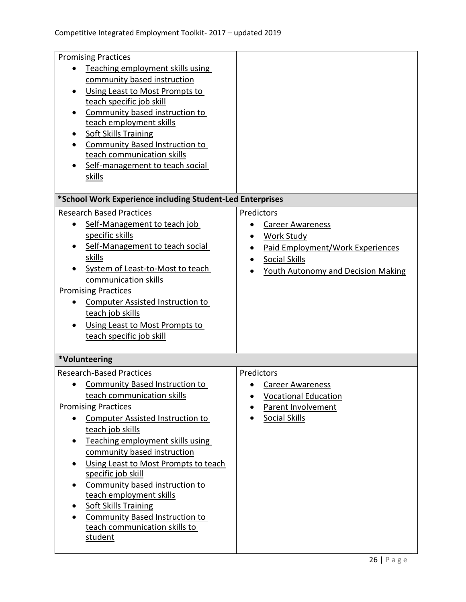| <b>Promising Practices</b>                                             |                                           |
|------------------------------------------------------------------------|-------------------------------------------|
| Teaching employment skills using                                       |                                           |
| community based instruction                                            |                                           |
| Using Least to Most Prompts to                                         |                                           |
| teach specific job skill                                               |                                           |
| Community based instruction to                                         |                                           |
| teach employment skills                                                |                                           |
| <b>Soft Skills Training</b>                                            |                                           |
| <b>Community Based Instruction to</b><br>teach communication skills    |                                           |
| Self-management to teach social                                        |                                           |
| <u>skills</u>                                                          |                                           |
|                                                                        |                                           |
| *School Work Experience including Student-Led Enterprises              |                                           |
| <b>Research Based Practices</b>                                        | Predictors                                |
| Self-Management to teach job<br>٠                                      | <b>Career Awareness</b>                   |
| specific skills                                                        | <b>Work Study</b>                         |
| Self-Management to teach social                                        | Paid Employment/Work Experiences          |
| <b>skills</b>                                                          | Social Skills                             |
| System of Least-to-Most to teach                                       | <b>Youth Autonomy and Decision Making</b> |
| communication skills                                                   |                                           |
| <b>Promising Practices</b>                                             |                                           |
| <b>Computer Assisted Instruction to</b>                                |                                           |
| teach job skills                                                       |                                           |
| Using Least to Most Prompts to                                         |                                           |
| teach specific job skill                                               |                                           |
| *Volunteering                                                          |                                           |
| <b>Research-Based Practices</b>                                        | Predictors                                |
| <b>Community Based Instruction to</b><br>$\bullet$                     | <b>Career Awareness</b>                   |
| teach communication skills                                             | <b>Vocational Education</b>               |
| <b>Promising Practices</b>                                             | Parent Involvement                        |
| <b>Computer Assisted Instruction to</b>                                | Social Skills                             |
| teach job skills                                                       |                                           |
| Teaching employment skills using                                       |                                           |
| community based instruction                                            |                                           |
| Using Least to Most Prompts to teach                                   |                                           |
| specific job skill                                                     |                                           |
| Community based instruction to                                         |                                           |
| teach employment skills                                                |                                           |
| <b>Soft Skills Training</b>                                            |                                           |
| <b>Community Based Instruction to</b><br>teach communication skills to |                                           |
| student                                                                |                                           |
|                                                                        |                                           |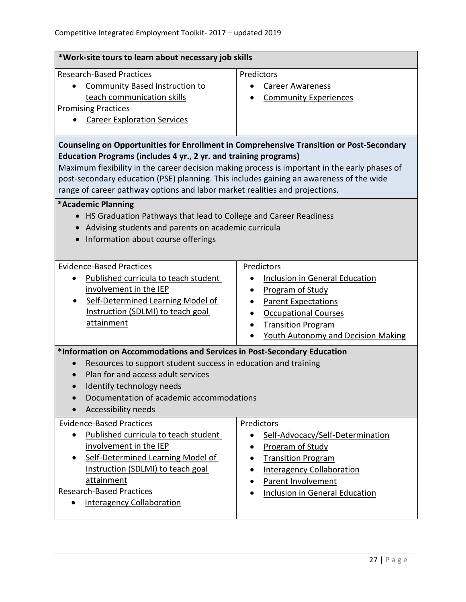| *Work-site tours to learn about necessary job skills                                                                                                                                                                                                                                                                                                                                                                                                                                                                                                                                                                                               |                                                                                                                                                                                                                                    |  |
|----------------------------------------------------------------------------------------------------------------------------------------------------------------------------------------------------------------------------------------------------------------------------------------------------------------------------------------------------------------------------------------------------------------------------------------------------------------------------------------------------------------------------------------------------------------------------------------------------------------------------------------------------|------------------------------------------------------------------------------------------------------------------------------------------------------------------------------------------------------------------------------------|--|
| <b>Research-Based Practices</b><br><b>Community Based Instruction to</b><br>teach communication skills<br><b>Promising Practices</b><br><b>Career Exploration Services</b>                                                                                                                                                                                                                                                                                                                                                                                                                                                                         | Predictors<br><b>Career Awareness</b><br><b>Community Experiences</b>                                                                                                                                                              |  |
| <b>Counseling on Opportunities for Enrollment in Comprehensive Transition or Post-Secondary</b><br>Education Programs (includes 4 yr., 2 yr. and training programs)<br>Maximum flexibility in the career decision making process is important in the early phases of<br>post-secondary education (PSE) planning. This includes gaining an awareness of the wide<br>range of career pathway options and labor market realities and projections.<br>*Academic Planning<br>HS Graduation Pathways that lead to College and Career Readiness<br>Advising students and parents on academic curricula<br>Information about course offerings<br>$\bullet$ |                                                                                                                                                                                                                                    |  |
| <b>Evidence-Based Practices</b><br>Published curricula to teach student<br>$\bullet$<br>involvement in the IEP<br>Self-Determined Learning Model of<br>$\bullet$<br>Instruction (SDLMI) to teach goal<br>attainment                                                                                                                                                                                                                                                                                                                                                                                                                                | Predictors<br><b>Inclusion in General Education</b><br><b>Program of Study</b><br><b>Parent Expectations</b><br><b>Occupational Courses</b><br><b>Transition Program</b><br>$\bullet$<br><b>Youth Autonomy and Decision Making</b> |  |
| *Information on Accommodations and Services in Post-Secondary Education<br>Resources to support student success in education and training<br>Plan for and access adult services<br>Identify technology needs<br>Documentation of academic accommodations<br>$\bullet$<br>Accessibility needs<br><b>Evidence-Based Practices</b><br>Predictors                                                                                                                                                                                                                                                                                                      |                                                                                                                                                                                                                                    |  |
| Published curricula to teach student<br>involvement in the IEP<br>Self-Determined Learning Model of<br><u>Instruction (SDLMI) to teach goal</u><br>attainment<br><b>Research-Based Practices</b><br><b>Interagency Collaboration</b>                                                                                                                                                                                                                                                                                                                                                                                                               | Self-Advocacy/Self-Determination<br>$\bullet$<br><b>Program of Study</b><br><b>Transition Program</b><br><b>Interagency Collaboration</b><br>Parent Involvement<br><b>Inclusion in General Education</b>                           |  |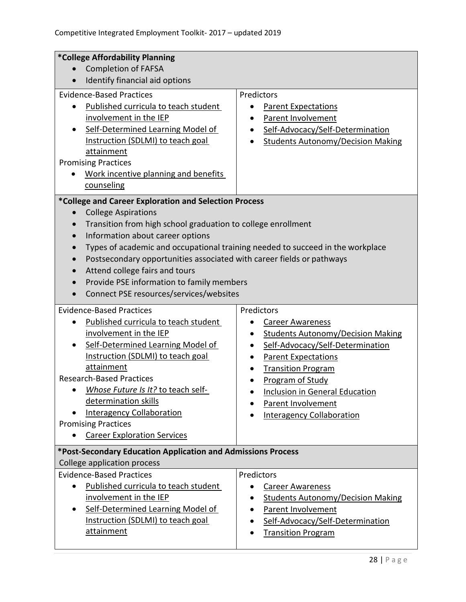| *College Affordability Planning                                                                                                                                                                                                                                                                                                                                                                                                                                                                                                                                                                                                                                                                                                                           |                                                                                                                                                                                                                                                                                                                            |  |
|-----------------------------------------------------------------------------------------------------------------------------------------------------------------------------------------------------------------------------------------------------------------------------------------------------------------------------------------------------------------------------------------------------------------------------------------------------------------------------------------------------------------------------------------------------------------------------------------------------------------------------------------------------------------------------------------------------------------------------------------------------------|----------------------------------------------------------------------------------------------------------------------------------------------------------------------------------------------------------------------------------------------------------------------------------------------------------------------------|--|
| <b>Completion of FAFSA</b><br>$\bullet$                                                                                                                                                                                                                                                                                                                                                                                                                                                                                                                                                                                                                                                                                                                   |                                                                                                                                                                                                                                                                                                                            |  |
| Identify financial aid options<br>$\bullet$                                                                                                                                                                                                                                                                                                                                                                                                                                                                                                                                                                                                                                                                                                               |                                                                                                                                                                                                                                                                                                                            |  |
| <b>Evidence-Based Practices</b><br>Published curricula to teach student<br>involvement in the IEP<br>Self-Determined Learning Model of<br>Instruction (SDLMI) to teach goal<br>attainment<br><b>Promising Practices</b><br>Work incentive planning and benefits<br>counseling<br>*College and Career Exploration and Selection Process<br><b>College Aspirations</b><br>$\bullet$<br>Transition from high school graduation to college enrollment<br>$\bullet$<br>Information about career options<br>$\bullet$<br>$\bullet$<br>Postsecondary opportunities associated with career fields or pathways<br>$\bullet$<br>Attend college fairs and tours<br>Provide PSE information to family members<br>Connect PSE resources/services/websites<br>$\bullet$ | Predictors<br><b>Parent Expectations</b><br>Parent Involvement<br>Self-Advocacy/Self-Determination<br><b>Students Autonomy/Decision Making</b><br>$\bullet$<br>Types of academic and occupational training needed to succeed in the workplace                                                                              |  |
| <b>Evidence-Based Practices</b><br>Published curricula to teach student<br>$\bullet$<br>involvement in the IEP<br>Self-Determined Learning Model of<br>Instruction (SDLMI) to teach goal<br>attainment<br><b>Research-Based Practices</b><br>Whose Future Is It? to teach self-<br>determination skills<br><b>Interagency Collaboration</b><br><b>Promising Practices</b><br><b>Career Exploration Services</b>                                                                                                                                                                                                                                                                                                                                           | Predictors<br><b>Career Awareness</b><br><b>Students Autonomy/Decision Making</b><br>$\bullet$<br>Self-Advocacy/Self-Determination<br>$\bullet$<br><b>Parent Expectations</b><br><b>Transition Program</b><br>Program of Study<br>Inclusion in General Education<br>Parent Involvement<br><b>Interagency Collaboration</b> |  |
| *Post-Secondary Education Application and Admissions Process<br>College application process                                                                                                                                                                                                                                                                                                                                                                                                                                                                                                                                                                                                                                                               |                                                                                                                                                                                                                                                                                                                            |  |
| <b>Evidence-Based Practices</b><br>Published curricula to teach student<br>involvement in the IEP<br>Self-Determined Learning Model of<br>Instruction (SDLMI) to teach goal<br>attainment                                                                                                                                                                                                                                                                                                                                                                                                                                                                                                                                                                 | Predictors<br><b>Career Awareness</b><br><b>Students Autonomy/Decision Making</b><br>Parent Involvement<br>Self-Advocacy/Self-Determination<br><b>Transition Program</b>                                                                                                                                                   |  |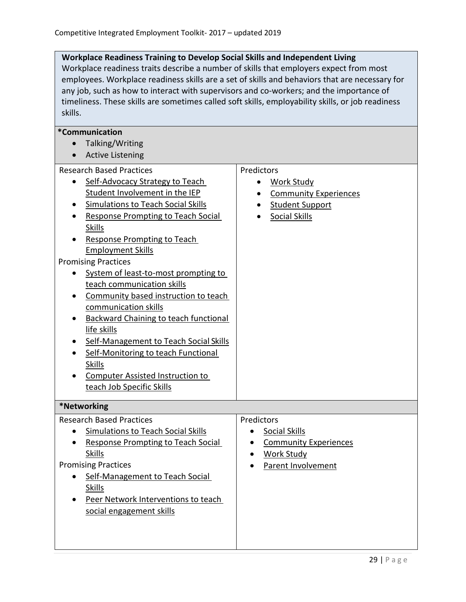#### **Workplace Readiness Training to Develop Social Skills and Independent Living**

Workplace readiness traits describe a number of skills that employers expect from most employees. Workplace readiness skills are a set of skills and behaviors that are necessary for any job, such as how to interact with supervisors and co-workers; and the importance of timeliness. These skills are sometimes called soft skills, employability skills, or job readiness skills.

| <i>*</i> Communication                                     |                                           |
|------------------------------------------------------------|-------------------------------------------|
| Talking/Writing<br>$\bullet$                               |                                           |
|                                                            |                                           |
| <b>Active Listening</b>                                    |                                           |
| <b>Research Based Practices</b>                            | Predictors                                |
| Self-Advocacy Strategy to Teach                            | <b>Work Study</b>                         |
| Student Involvement in the IEP                             | <b>Community Experiences</b><br>$\bullet$ |
| Simulations to Teach Social Skills                         | Student Support                           |
| <b>Response Prompting to Teach Social</b>                  | <b>Social Skills</b>                      |
| <b>Skills</b>                                              |                                           |
| <b>Response Prompting to Teach</b>                         |                                           |
| <b>Employment Skills</b>                                   |                                           |
| <b>Promising Practices</b>                                 |                                           |
| System of least-to-most prompting to                       |                                           |
| teach communication skills                                 |                                           |
| Community based instruction to teach                       |                                           |
| communication skills                                       |                                           |
| <b>Backward Chaining to teach functional</b>               |                                           |
| life skills                                                |                                           |
| Self-Management to Teach Social Skills                     |                                           |
| Self-Monitoring to teach Functional                        |                                           |
| <b>Skills</b>                                              |                                           |
| <b>Computer Assisted Instruction to</b>                    |                                           |
| teach Job Specific Skills                                  |                                           |
| *Networking                                                |                                           |
| <b>Research Based Practices</b>                            | Predictors                                |
| <b>Simulations to Teach Social Skills</b>                  |                                           |
|                                                            | <b>Social Skills</b>                      |
| <b>Response Prompting to Teach Social</b><br><b>Skills</b> | <b>Community Experiences</b>              |
|                                                            | <b>Work Study</b>                         |
| <b>Promising Practices</b>                                 | Parent Involvement                        |
| Self-Management to Teach Social                            |                                           |
| <b>Skills</b>                                              |                                           |
| Peer Network Interventions to teach                        |                                           |
| social engagement skills                                   |                                           |
|                                                            |                                           |
|                                                            |                                           |
|                                                            |                                           |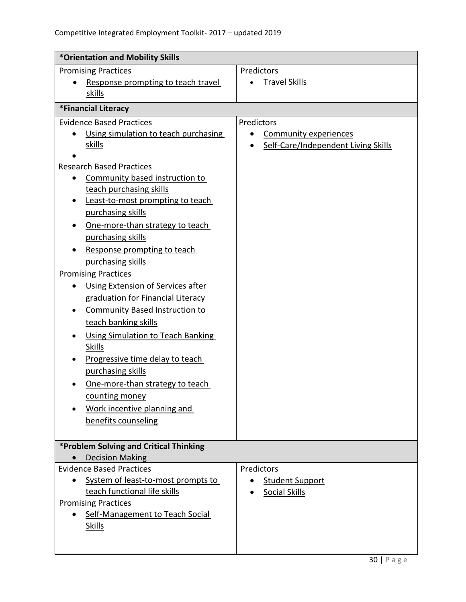| *Orientation and Mobility Skills         |                                           |
|------------------------------------------|-------------------------------------------|
| <b>Promising Practices</b>               | Predictors                                |
| Response prompting to teach travel       | <b>Travel Skills</b>                      |
| skills                                   |                                           |
| *Financial Literacy                      |                                           |
| <b>Evidence Based Practices</b>          | Predictors                                |
| Using simulation to teach purchasing     | <b>Community experiences</b><br>$\bullet$ |
| skills                                   | Self-Care/Independent Living Skills       |
| <b>Research Based Practices</b>          |                                           |
| Community based instruction to           |                                           |
| teach purchasing skills                  |                                           |
| Least-to-most prompting to teach         |                                           |
| purchasing skills                        |                                           |
| One-more-than strategy to teach          |                                           |
| purchasing skills                        |                                           |
| Response prompting to teach              |                                           |
| purchasing skills                        |                                           |
| <b>Promising Practices</b>               |                                           |
| Using Extension of Services after        |                                           |
| graduation for Financial Literacy        |                                           |
| <b>Community Based Instruction to</b>    |                                           |
| teach banking skills                     |                                           |
| <b>Using Simulation to Teach Banking</b> |                                           |
| <b>Skills</b>                            |                                           |
| Progressive time delay to teach          |                                           |
| purchasing skills                        |                                           |
| One-more-than strategy to teach          |                                           |
| counting money                           |                                           |
| Work incentive planning and              |                                           |
| benefits counseling                      |                                           |
|                                          |                                           |
| *Problem Solving and Critical Thinking   |                                           |
| <b>Decision Making</b>                   |                                           |
| <b>Evidence Based Practices</b>          | Predictors                                |
| System of least-to-most prompts to       | <b>Student Support</b>                    |
| teach functional life skills             | <b>Social Skills</b>                      |
| <b>Promising Practices</b>               |                                           |
| Self-Management to Teach Social          |                                           |
| <b>Skills</b>                            |                                           |
|                                          |                                           |
|                                          |                                           |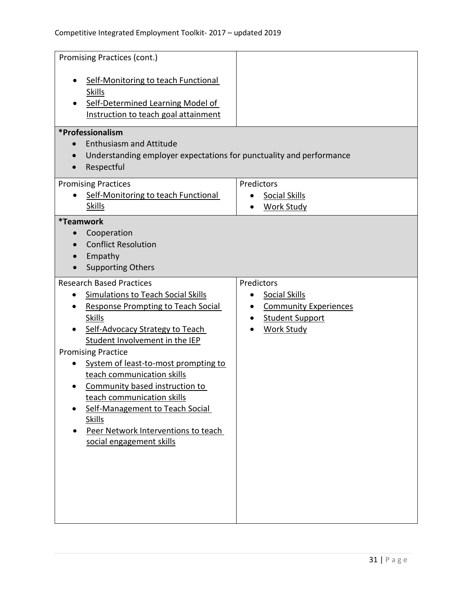| Promising Practices (cont.)                                                                                                                                                                                                                                                                                                                                                                                                                                                                               |                                                                                                                                             |
|-----------------------------------------------------------------------------------------------------------------------------------------------------------------------------------------------------------------------------------------------------------------------------------------------------------------------------------------------------------------------------------------------------------------------------------------------------------------------------------------------------------|---------------------------------------------------------------------------------------------------------------------------------------------|
| Self-Monitoring to teach Functional<br><b>Skills</b><br>Self-Determined Learning Model of<br>Instruction to teach goal attainment                                                                                                                                                                                                                                                                                                                                                                         |                                                                                                                                             |
| *Professionalism<br><b>Enthusiasm and Attitude</b><br>Understanding employer expectations for punctuality and performance<br>Respectful<br>$\bullet$                                                                                                                                                                                                                                                                                                                                                      |                                                                                                                                             |
| <b>Promising Practices</b><br>Self-Monitoring to teach Functional<br><b>Skills</b>                                                                                                                                                                                                                                                                                                                                                                                                                        | Predictors<br><b>Social Skills</b><br><b>Work Study</b><br>$\bullet$                                                                        |
| <i><b>*Teamwork</b></i><br>Cooperation<br>$\bullet$<br><b>Conflict Resolution</b><br>Empathy<br><b>Supporting Others</b>                                                                                                                                                                                                                                                                                                                                                                                  |                                                                                                                                             |
| <b>Research Based Practices</b><br><b>Simulations to Teach Social Skills</b><br><b>Response Prompting to Teach Social</b><br><b>Skills</b><br>Self-Advocacy Strategy to Teach<br>Student Involvement in the IEP<br><b>Promising Practice</b><br>System of least-to-most prompting to<br>teach communication skills<br>Community based instruction to<br>teach communication skills<br>Self-Management to Teach Social<br><b>Skills</b><br>Peer Network Interventions to teach<br>social engagement skills | Predictors<br><b>Social Skills</b><br>$\bullet$<br><b>Community Experiences</b><br>$\bullet$<br><b>Student Support</b><br><b>Work Study</b> |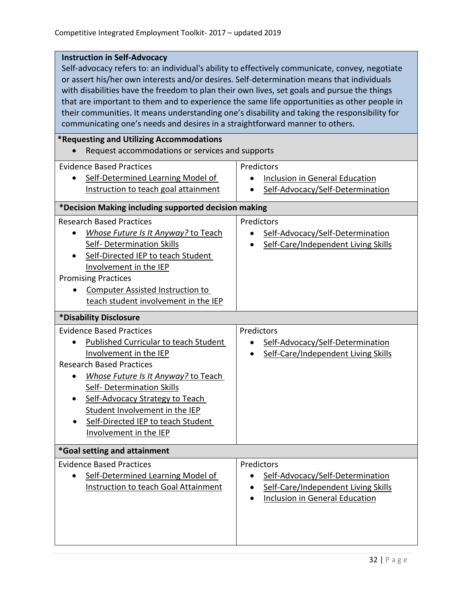#### **Instruction in Self-Advocacy**

Self*-*advocacy refers to: an individual's ability to effectively communicate, convey, negotiate or assert his/her own interests and/or desires. Self-determination means that individuals with disabilities have the freedom to plan their own lives, set goals and pursue the things that are important to them and to experience the same life opportunities as other people in their communities. It means understanding one's disability and taking the responsibility for communicating one's needs and desires in a straightforward manner to others.

#### **\*Requesting and Utilizing Accommodations**

• Request accommodations or services and supports

| <b>Evidence Based Practices</b><br>Self-Determined Learning Model of<br>Instruction to teach goal attainment                                                                                                                                                                                                                                           | Predictors<br>Inclusion in General Education<br>$\bullet$<br>Self-Advocacy/Self-Determination                                                     |  |  |
|--------------------------------------------------------------------------------------------------------------------------------------------------------------------------------------------------------------------------------------------------------------------------------------------------------------------------------------------------------|---------------------------------------------------------------------------------------------------------------------------------------------------|--|--|
| *Decision Making including supported decision making                                                                                                                                                                                                                                                                                                   |                                                                                                                                                   |  |  |
| <b>Research Based Practices</b><br>Whose Future Is It Anyway? to Teach<br>Self- Determination Skills<br>Self-Directed IEP to teach Student<br>Involvement in the IEP<br><b>Promising Practices</b><br><b>Computer Assisted Instruction to</b><br>teach student involvement in the IEP                                                                  | Predictors<br>Self-Advocacy/Self-Determination<br>$\bullet$<br>Self-Care/Independent Living Skills                                                |  |  |
| *Disability Disclosure                                                                                                                                                                                                                                                                                                                                 |                                                                                                                                                   |  |  |
| <b>Evidence Based Practices</b><br><b>Published Curricular to teach Student</b><br>Involvement in the IEP<br><b>Research Based Practices</b><br>Whose Future Is It Anyway? to Teach<br>Self- Determination Skills<br>Self-Advocacy Strategy to Teach<br>Student Involvement in the IEP<br>Self-Directed IEP to teach Student<br>Involvement in the IEP | Predictors<br>Self-Advocacy/Self-Determination<br>$\bullet$<br>Self-Care/Independent Living Skills                                                |  |  |
| *Goal setting and attainment                                                                                                                                                                                                                                                                                                                           |                                                                                                                                                   |  |  |
| <b>Evidence Based Practices</b><br>Self-Determined Learning Model of<br>Instruction to teach Goal Attainment                                                                                                                                                                                                                                           | Predictors<br>Self-Advocacy/Self-Determination<br>$\bullet$<br>Self-Care/Independent Living Skills<br>$\bullet$<br>Inclusion in General Education |  |  |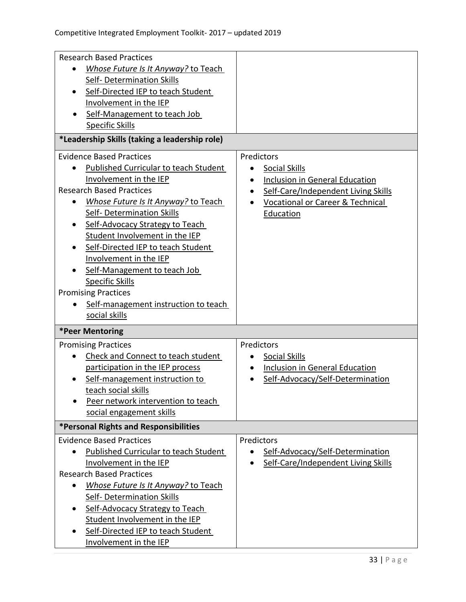| <b>Research Based Practices</b>                  |                                                    |
|--------------------------------------------------|----------------------------------------------------|
| Whose Future Is It Anyway? to Teach              |                                                    |
| <b>Self- Determination Skills</b>                |                                                    |
| Self-Directed IEP to teach Student               |                                                    |
| Involvement in the IEP                           |                                                    |
| Self-Management to teach Job                     |                                                    |
| <b>Specific Skills</b>                           |                                                    |
|                                                  |                                                    |
| *Leadership Skills (taking a leadership role)    |                                                    |
| <b>Evidence Based Practices</b>                  | Predictors                                         |
| <b>Published Curricular to teach Student</b>     | Social Skills<br>$\bullet$                         |
| Involvement in the IEP                           | <b>Inclusion in General Education</b><br>$\bullet$ |
| <b>Research Based Practices</b>                  | Self-Care/Independent Living Skills<br>$\bullet$   |
| Whose Future Is It Anyway? to Teach<br>$\bullet$ | <b>Vocational or Career &amp; Technical</b>        |
| Self- Determination Skills                       | Education                                          |
| Self-Advocacy Strategy to Teach                  |                                                    |
| Student Involvement in the IEP                   |                                                    |
| Self-Directed IEP to teach Student               |                                                    |
| Involvement in the IEP                           |                                                    |
| Self-Management to teach Job                     |                                                    |
| <b>Specific Skills</b>                           |                                                    |
| <b>Promising Practices</b>                       |                                                    |
| Self-management instruction to teach             |                                                    |
| social skills                                    |                                                    |
| *Peer Mentoring                                  |                                                    |
| <b>Promising Practices</b>                       | Predictors                                         |
| Check and Connect to teach student               | <b>Social Skills</b>                               |
| participation in the IEP process                 | Inclusion in General Education                     |
| Self-management instruction to                   | Self-Advocacy/Self-Determination                   |
| teach social skills                              |                                                    |
| Peer network intervention to teach               |                                                    |
| social engagement skills                         |                                                    |
| <b>*Personal Rights and Responsibilities</b>     |                                                    |
| <b>Evidence Based Practices</b>                  | Predictors                                         |
| Published Curricular to teach Student            | Self-Advocacy/Self-Determination                   |
| Involvement in the IEP                           | Self-Care/Independent Living Skills                |
| <b>Research Based Practices</b>                  |                                                    |
| Whose Future Is It Anyway? to Teach<br>$\bullet$ |                                                    |
| Self-Determination Skills                        |                                                    |
|                                                  |                                                    |
| Self-Advocacy Strategy to Teach                  |                                                    |
| Student Involvement in the IEP                   |                                                    |
| Self-Directed IEP to teach Student               |                                                    |
| Involvement in the IEP                           |                                                    |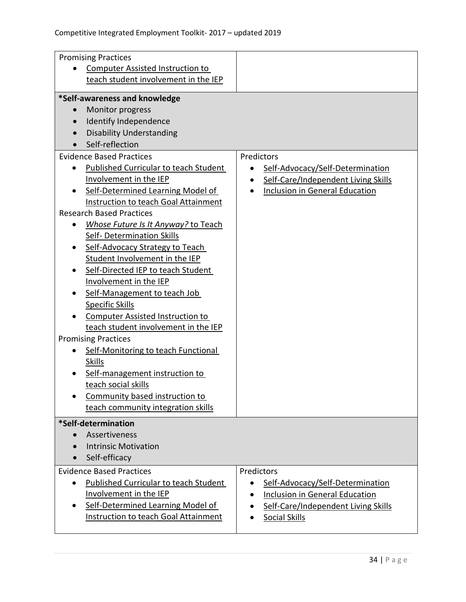| <b>Promising Practices</b>                                                                                                                                                                                                                                                                                                                                                                                                                                                                                                                                                                                                                                                                                                                                                                                                                                                                                                                                           |                                                                                                                                             |  |
|----------------------------------------------------------------------------------------------------------------------------------------------------------------------------------------------------------------------------------------------------------------------------------------------------------------------------------------------------------------------------------------------------------------------------------------------------------------------------------------------------------------------------------------------------------------------------------------------------------------------------------------------------------------------------------------------------------------------------------------------------------------------------------------------------------------------------------------------------------------------------------------------------------------------------------------------------------------------|---------------------------------------------------------------------------------------------------------------------------------------------|--|
| <b>Computer Assisted Instruction to</b>                                                                                                                                                                                                                                                                                                                                                                                                                                                                                                                                                                                                                                                                                                                                                                                                                                                                                                                              |                                                                                                                                             |  |
| teach student involvement in the IEP                                                                                                                                                                                                                                                                                                                                                                                                                                                                                                                                                                                                                                                                                                                                                                                                                                                                                                                                 |                                                                                                                                             |  |
| *Self-awareness and knowledge<br>Monitor progress<br>Identify Independence<br><b>Disability Understanding</b><br>Self-reflection<br><b>Evidence Based Practices</b><br><b>Published Curricular to teach Student</b><br>$\bullet$<br>Involvement in the IEP<br>Self-Determined Learning Model of<br>Instruction to teach Goal Attainment<br><b>Research Based Practices</b><br>Whose Future Is It Anyway? to Teach<br><b>Self- Determination Skills</b><br>Self-Advocacy Strategy to Teach<br>Student Involvement in the IEP<br>Self-Directed IEP to teach Student<br>Involvement in the IEP<br>Self-Management to teach Job<br><b>Specific Skills</b><br><b>Computer Assisted Instruction to</b><br>teach student involvement in the IEP<br><b>Promising Practices</b><br>Self-Monitoring to teach Functional<br>٠<br><b>Skills</b><br>Self-management instruction to<br>teach social skills<br>Community based instruction to<br>teach community integration skills | Predictors<br>Self-Advocacy/Self-Determination<br>$\bullet$<br>Self-Care/Independent Living Skills<br><b>Inclusion in General Education</b> |  |
| *Self-determination                                                                                                                                                                                                                                                                                                                                                                                                                                                                                                                                                                                                                                                                                                                                                                                                                                                                                                                                                  |                                                                                                                                             |  |
| Assertiveness                                                                                                                                                                                                                                                                                                                                                                                                                                                                                                                                                                                                                                                                                                                                                                                                                                                                                                                                                        |                                                                                                                                             |  |
| <b>Intrinsic Motivation</b>                                                                                                                                                                                                                                                                                                                                                                                                                                                                                                                                                                                                                                                                                                                                                                                                                                                                                                                                          |                                                                                                                                             |  |
| Self-efficacy                                                                                                                                                                                                                                                                                                                                                                                                                                                                                                                                                                                                                                                                                                                                                                                                                                                                                                                                                        |                                                                                                                                             |  |
| <b>Evidence Based Practices</b>                                                                                                                                                                                                                                                                                                                                                                                                                                                                                                                                                                                                                                                                                                                                                                                                                                                                                                                                      | Predictors                                                                                                                                  |  |
| <b>Published Curricular to teach Student</b><br>$\bullet$                                                                                                                                                                                                                                                                                                                                                                                                                                                                                                                                                                                                                                                                                                                                                                                                                                                                                                            | Self-Advocacy/Self-Determination                                                                                                            |  |
| Involvement in the IEP                                                                                                                                                                                                                                                                                                                                                                                                                                                                                                                                                                                                                                                                                                                                                                                                                                                                                                                                               | <b>Inclusion in General Education</b>                                                                                                       |  |
| Self-Determined Learning Model of<br>$\bullet$                                                                                                                                                                                                                                                                                                                                                                                                                                                                                                                                                                                                                                                                                                                                                                                                                                                                                                                       | Self-Care/Independent Living Skills                                                                                                         |  |
| Instruction to teach Goal Attainment                                                                                                                                                                                                                                                                                                                                                                                                                                                                                                                                                                                                                                                                                                                                                                                                                                                                                                                                 | <b>Social Skills</b>                                                                                                                        |  |
|                                                                                                                                                                                                                                                                                                                                                                                                                                                                                                                                                                                                                                                                                                                                                                                                                                                                                                                                                                      |                                                                                                                                             |  |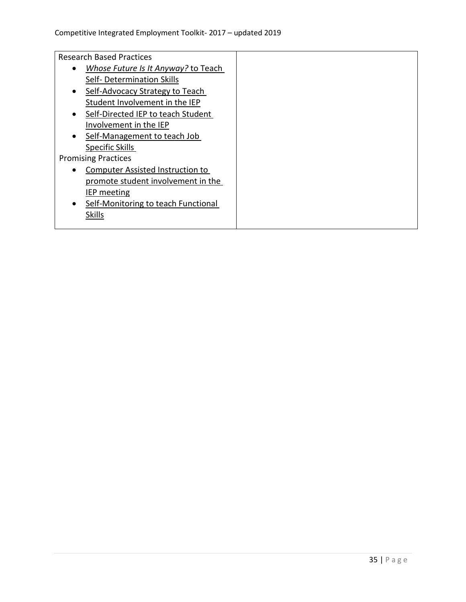Research Based Practices

- *[Whose Future Is It Anyway?](https://transitionta.org/system/files/resourcetrees/PD_WF.pdf?file=1&type=node&id=599)* to Teach Self- [Determination](https://transitionta.org/system/files/resourcetrees/PD_WF.pdf?file=1&type=node&id=599) Skills
- Self-Advocacy Strategy to Teach [Student Involvement in the](https://transitionta.org/system/files/resourcetrees/PD_SAS%20update%202017_0.pdf?file=1&type=node&id=1608) IEP
- Self-Directed IEP to teach Student [Involvement in the](https://transitionta.org/system/files/resourcetrees/PD_SDIEP.pdf?file=1&type=node&id=195) IEP
- Self-Management to teach Job [Specific](https://www.transitionta.org/system/files/resourcetrees/PD_Self%20Manage%20Instr_JobSkills_2019%20%281%29.pdf?file=1&type=node&id=173) Skills

#### Promising Practices

- [Computer Assisted Instruction to](https://transitionta.org/system/files/resourcetrees/PD_%20CAI_%20IEP_2018_0.pdf?file=1&type=node&id=192)  [promote student involvement in the](https://transitionta.org/system/files/resourcetrees/PD_%20CAI_%20IEP_2018_0.pdf?file=1&type=node&id=192)  IEP [meeting](https://transitionta.org/system/files/resourcetrees/PD_%20CAI_%20IEP_2018_0.pdf?file=1&type=node&id=192)
- [Self-Monitoring to teach Functional](https://transitionta.org/system/files/resourcetrees/PD%20SM%20to%20Teach%20Functional%20Skills%202017.pdf?file=1&type=node&id=186) **[Skills](https://transitionta.org/system/files/resourcetrees/PD%20SM%20to%20Teach%20Functional%20Skills%202017.pdf?file=1&type=node&id=186)**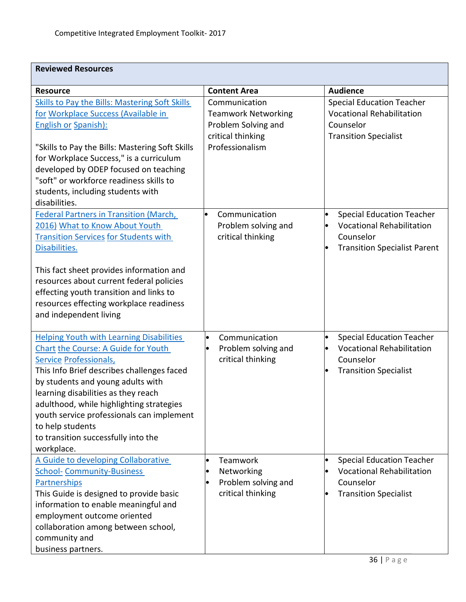| <b>Reviewed Resources</b>                                                                                                                                                                                                                                                                                                                                                                                                  |                                                                                                            |                                                                                                                                                    |
|----------------------------------------------------------------------------------------------------------------------------------------------------------------------------------------------------------------------------------------------------------------------------------------------------------------------------------------------------------------------------------------------------------------------------|------------------------------------------------------------------------------------------------------------|----------------------------------------------------------------------------------------------------------------------------------------------------|
| <b>Resource</b>                                                                                                                                                                                                                                                                                                                                                                                                            | <b>Content Area</b>                                                                                        | <b>Audience</b>                                                                                                                                    |
| <b>Skills to Pay the Bills: Mastering Soft Skills</b><br>for Workplace Success (Available in<br><b>English or Spanish):</b><br>"Skills to Pay the Bills: Mastering Soft Skills<br>for Workplace Success," is a curriculum<br>developed by ODEP focused on teaching<br>"soft" or workforce readiness skills to<br>students, including students with<br>disabilities.                                                        | Communication<br><b>Teamwork Networking</b><br>Problem Solving and<br>critical thinking<br>Professionalism | <b>Special Education Teacher</b><br><b>Vocational Rehabilitation</b><br>Counselor<br><b>Transition Specialist</b>                                  |
| <b>Federal Partners in Transition (March,</b><br>2016) What to Know About Youth<br><b>Transition Services for Students with</b><br>Disabilities.<br>This fact sheet provides information and<br>resources about current federal policies<br>effecting youth transition and links to<br>resources effecting workplace readiness<br>and independent living                                                                   | Communication<br>$\bullet$<br>Problem solving and<br>critical thinking                                     | <b>Special Education Teacher</b><br>$\bullet$<br><b>Vocational Rehabilitation</b><br>$\bullet$<br>Counselor<br><b>Transition Specialist Parent</b> |
| <b>Helping Youth with Learning Disabilities</b><br><b>Chart the Course: A Guide for Youth</b><br><b>Service Professionals,</b><br>This Info Brief describes challenges faced<br>by students and young adults with<br>learning disabilities as they reach<br>adulthood, while highlighting strategies<br>youth service professionals can implement<br>to help students<br>to transition successfully into the<br>workplace. | Communication<br>Problem solving and<br>critical thinking                                                  | <b>Special Education Teacher</b><br>$\bullet$<br><b>Vocational Rehabilitation</b><br>$\bullet$<br>Counselor<br><b>Transition Specialist</b>        |
| A Guide to developing Collaborative<br><b>School- Community-Business</b><br>Partnerships<br>This Guide is designed to provide basic<br>information to enable meaningful and<br>employment outcome oriented<br>collaboration among between school,<br>community and<br>business partners.                                                                                                                                   | Teamwork<br>Networking<br>Problem solving and<br>critical thinking                                         | <b>Special Education Teacher</b><br>$\bullet$<br><b>Vocational Rehabilitation</b><br>Counselor<br><b>Transition Specialist</b>                     |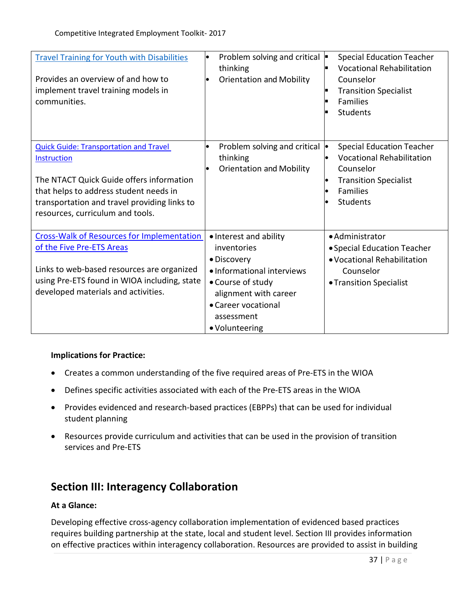| <b>Travel Training for Youth with Disabilities</b><br>Provides an overview of and how to<br>implement travel training models in<br>communities. | Problem solving and critical $\blacktriangleright$<br>$\bullet$<br>thinking<br><b>Orientation and Mobility</b><br>$\bullet$ | <b>Special Education Teacher</b><br><b>Vocational Rehabilitation</b><br>Counselor<br><b>Transition Specialist</b><br>п<br><b>Families</b><br>Students |
|-------------------------------------------------------------------------------------------------------------------------------------------------|-----------------------------------------------------------------------------------------------------------------------------|-------------------------------------------------------------------------------------------------------------------------------------------------------|
| <b>Quick Guide: Transportation and Travel</b><br>Instruction                                                                                    | Problem solving and critical  .<br>thinking<br><b>Orientation and Mobility</b><br>$\bullet$                                 | <b>Special Education Teacher</b><br><b>Vocational Rehabilitation</b><br>Counselor                                                                     |
| The NTACT Quick Guide offers information                                                                                                        |                                                                                                                             | <b>Transition Specialist</b><br>$\bullet$<br><b>Families</b>                                                                                          |
| that helps to address student needs in<br>transportation and travel providing links to                                                          |                                                                                                                             | Students                                                                                                                                              |
| resources, curriculum and tools.                                                                                                                |                                                                                                                             |                                                                                                                                                       |
| <b>Cross-Walk of Resources for Implementation</b>                                                                                               | • Interest and ability                                                                                                      | • Administrator                                                                                                                                       |
| of the Five Pre-ETS Areas                                                                                                                       | inventories                                                                                                                 | • Special Education Teacher                                                                                                                           |
|                                                                                                                                                 | • Discovery                                                                                                                 | • Vocational Rehabilitation                                                                                                                           |
| Links to web-based resources are organized                                                                                                      | · Informational interviews                                                                                                  | Counselor                                                                                                                                             |
| using Pre-ETS found in WIOA including, state                                                                                                    | • Course of study                                                                                                           | • Transition Specialist                                                                                                                               |
| developed materials and activities.                                                                                                             | alignment with career                                                                                                       |                                                                                                                                                       |
|                                                                                                                                                 | • Career vocational                                                                                                         |                                                                                                                                                       |
|                                                                                                                                                 | assessment<br>• Volunteering                                                                                                |                                                                                                                                                       |
|                                                                                                                                                 |                                                                                                                             |                                                                                                                                                       |

#### **Implications for Practice:**

- Creates a common understanding of the five required areas of Pre-ETS in the WIOA
- Defines specific activities associated with each of the Pre-ETS areas in the WIOA
- Provides evidenced and research-based practices (EBPPs) that can be used for individual student planning
- Resources provide curriculum and activities that can be used in the provision of transition services and Pre-ETS

# **Section III: Interagency Collaboration**

#### **At a Glance:**

Developing effective cross-agency collaboration implementation of evidenced based practices requires building partnership at the state, local and student level. Section III provides information on effective practices within interagency collaboration. Resources are provided to assist in building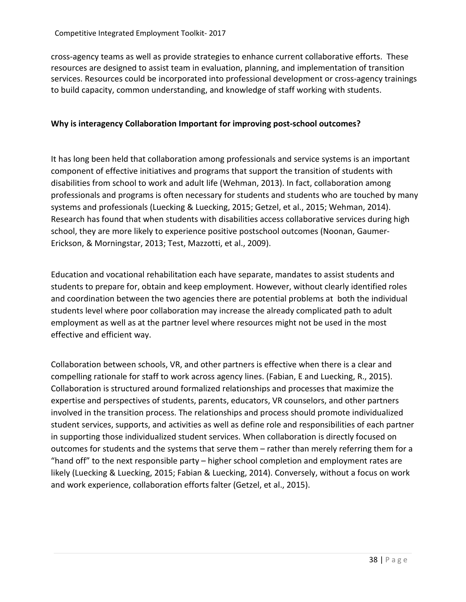cross-agency teams as well as provide strategies to enhance current collaborative efforts. These resources are designed to assist team in evaluation, planning, and implementation of transition services. Resources could be incorporated into professional development or cross-agency trainings to build capacity, common understanding, and knowledge of staff working with students.

# **Why is interagency Collaboration Important for improving post-school outcomes?**

It has long been held that collaboration among professionals and service systems is an important component of effective initiatives and programs that support the transition of students with disabilities from school to work and adult life (Wehman, 2013). In fact, collaboration among professionals and programs is often necessary for students and students who are touched by many systems and professionals (Luecking & Luecking, 2015; Getzel, et al., 2015; Wehman, 2014). Research has found that when students with disabilities access collaborative services during high school, they are more likely to experience positive postschool outcomes (Noonan, Gaumer-Erickson, & Morningstar, 2013; Test, Mazzotti, et al., 2009).

Education and vocational rehabilitation each have separate, mandates to assist students and students to prepare for, obtain and keep employment. However, without clearly identified roles and coordination between the two agencies there are potential problems at both the individual students level where poor collaboration may increase the already complicated path to adult employment as well as at the partner level where resources might not be used in the most effective and efficient way.

Collaboration between schools, VR, and other partners is effective when there is a clear and compelling rationale for staff to work across agency lines. (Fabian, E and Luecking, R., 2015). Collaboration is structured around formalized relationships and processes that maximize the expertise and perspectives of students, parents, educators, VR counselors, and other partners involved in the transition process. The relationships and process should promote individualized student services, supports, and activities as well as define role and responsibilities of each partner in supporting those individualized student services. When collaboration is directly focused on outcomes for students and the systems that serve them – rather than merely referring them for a "hand off" to the next responsible party – higher school completion and employment rates are likely (Luecking & Luecking, 2015; Fabian & Luecking, 2014). Conversely, without a focus on work and work experience, collaboration efforts falter (Getzel, et al., 2015).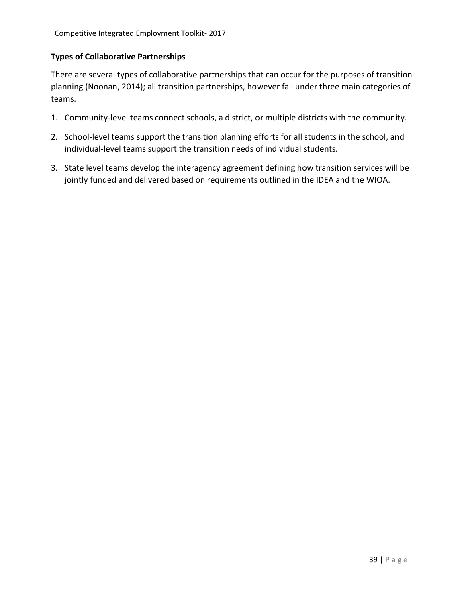#### **Types of Collaborative Partnerships**

There are several types of collaborative partnerships that can occur for the purposes of transition planning (Noonan, 2014); all transition partnerships, however fall under three main categories of teams.

- 1. Community-level teams connect schools, a district, or multiple districts with the community.
- 2. School-level teams support the transition planning efforts for all students in the school, and individual-level teams support the transition needs of individual students.
- 3. State level teams develop the interagency agreement defining how transition services will be jointly funded and delivered based on requirements outlined in the IDEA and the WIOA.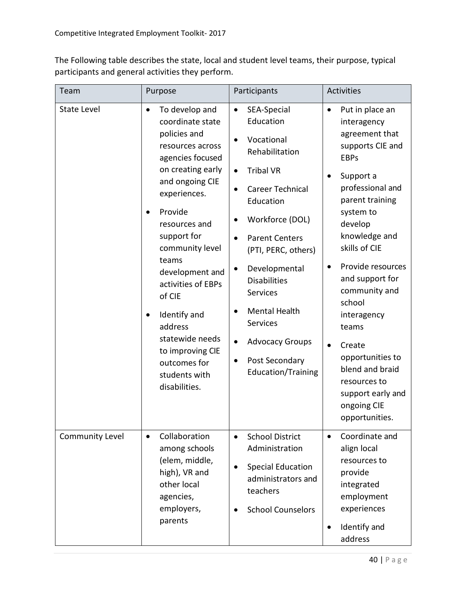The Following table describes the state, local and student level teams, their purpose, typical participants and general activities they perform.

| Team               | Purpose                                                                                                                                                                                                                                                                                                                                                                                                            | Participants                                                                                                                                                                                                                                                                                                                                                                                                                                             | <b>Activities</b>                                                                                                                                                                                                                                                                                                                                                                                                                                  |
|--------------------|--------------------------------------------------------------------------------------------------------------------------------------------------------------------------------------------------------------------------------------------------------------------------------------------------------------------------------------------------------------------------------------------------------------------|----------------------------------------------------------------------------------------------------------------------------------------------------------------------------------------------------------------------------------------------------------------------------------------------------------------------------------------------------------------------------------------------------------------------------------------------------------|----------------------------------------------------------------------------------------------------------------------------------------------------------------------------------------------------------------------------------------------------------------------------------------------------------------------------------------------------------------------------------------------------------------------------------------------------|
| <b>State Level</b> | To develop and<br>$\bullet$<br>coordinate state<br>policies and<br>resources across<br>agencies focused<br>on creating early<br>and ongoing CIE<br>experiences.<br>Provide<br>resources and<br>support for<br>community level<br>teams<br>development and<br>activities of EBPs<br>of CIE<br>Identify and<br>٠<br>address<br>statewide needs<br>to improving CIE<br>outcomes for<br>students with<br>disabilities. | SEA-Special<br>$\bullet$<br>Education<br>Vocational<br>$\bullet$<br>Rehabilitation<br><b>Tribal VR</b><br>$\bullet$<br>Career Technical<br>$\bullet$<br>Education<br>Workforce (DOL)<br><b>Parent Centers</b><br>$\bullet$<br>(PTI, PERC, others)<br>Developmental<br>٠<br><b>Disabilities</b><br>Services<br><b>Mental Health</b><br><b>Services</b><br><b>Advocacy Groups</b><br>$\bullet$<br>Post Secondary<br>$\bullet$<br><b>Education/Training</b> | Put in place an<br>$\bullet$<br>interagency<br>agreement that<br>supports CIE and<br><b>EBPs</b><br>Support a<br>professional and<br>parent training<br>system to<br>develop<br>knowledge and<br>skills of CIE<br>Provide resources<br>٠<br>and support for<br>community and<br>school<br>interagency<br>teams<br>Create<br>$\bullet$<br>opportunities to<br>blend and braid<br>resources to<br>support early and<br>ongoing CIE<br>opportunities. |
| Community Level    | Collaboration<br>$\bullet$<br>among schools<br>(elem, middle,<br>high), VR and<br>other local<br>agencies,<br>employers,<br>parents                                                                                                                                                                                                                                                                                | <b>School District</b><br>$\bullet$<br>Administration<br><b>Special Education</b><br>administrators and<br>teachers<br><b>School Counselors</b>                                                                                                                                                                                                                                                                                                          | Coordinate and<br>$\bullet$<br>align local<br>resources to<br>provide<br>integrated<br>employment<br>experiences<br>Identify and<br>$\bullet$<br>address                                                                                                                                                                                                                                                                                           |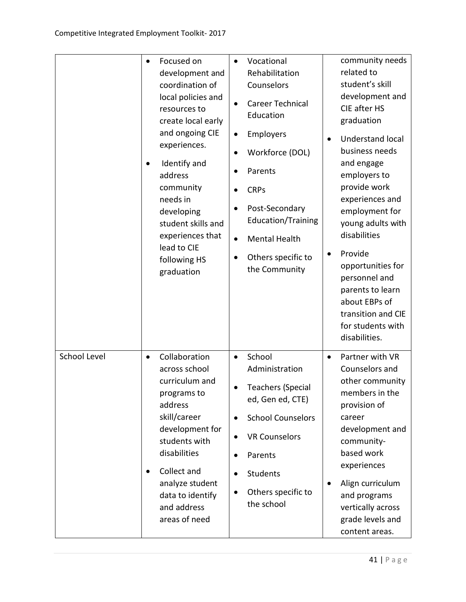|              | $\bullet$<br>$\bullet$ | Focused on<br>development and<br>coordination of<br>local policies and<br>resources to<br>create local early<br>and ongoing CIE<br>experiences.<br>Identify and<br>address<br>community<br>needs in<br>developing<br>student skills and<br>experiences that<br>lead to CIE<br>following HS<br>graduation | $\bullet$<br>$\bullet$<br>$\bullet$<br>$\bullet$<br>$\bullet$ | Vocational<br>Rehabilitation<br>Counselors<br>Career Technical<br>Education<br>Employers<br>Workforce (DOL)<br>Parents<br><b>CRPs</b><br>Post-Secondary<br><b>Education/Training</b><br><b>Mental Health</b><br>Others specific to<br>the Community |           | community needs<br>related to<br>student's skill<br>development and<br>CIE after HS<br>graduation<br><b>Understand local</b><br>business needs<br>and engage<br>employers to<br>provide work<br>experiences and<br>employment for<br>young adults with<br>disabilities<br>Provide<br>opportunities for<br>personnel and<br>parents to learn<br>about EBPs of<br>transition and CIE<br>for students with |
|--------------|------------------------|----------------------------------------------------------------------------------------------------------------------------------------------------------------------------------------------------------------------------------------------------------------------------------------------------------|---------------------------------------------------------------|-----------------------------------------------------------------------------------------------------------------------------------------------------------------------------------------------------------------------------------------------------|-----------|---------------------------------------------------------------------------------------------------------------------------------------------------------------------------------------------------------------------------------------------------------------------------------------------------------------------------------------------------------------------------------------------------------|
| School Level | $\bullet$<br>$\bullet$ | Collaboration<br>across school<br>curriculum and<br>programs to<br>address<br>skill/career<br>development for<br>students with<br>disabilities<br>Collect and<br>analyze student<br>data to identify<br>and address<br>areas of need                                                                     | $\bullet$<br>$\bullet$<br>$\bullet$<br>$\bullet$<br>$\bullet$ | School<br>Administration<br><b>Teachers (Special</b><br>ed, Gen ed, CTE)<br><b>School Counselors</b><br><b>VR Counselors</b><br>Parents<br>Students<br>Others specific to<br>the school                                                             | $\bullet$ | disabilities.<br>Partner with VR<br>Counselors and<br>other community<br>members in the<br>provision of<br>career<br>development and<br>community-<br>based work<br>experiences<br>Align curriculum<br>and programs<br>vertically across<br>grade levels and<br>content areas.                                                                                                                          |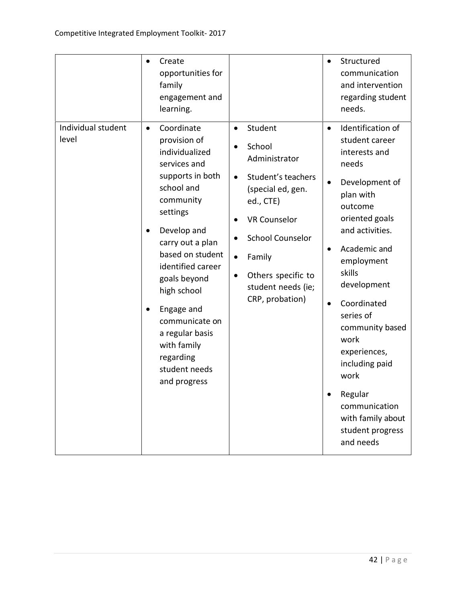| Individual student | Create<br>$\bullet$<br>opportunities for<br>family<br>engagement and<br>learning.<br>Coordinate<br>$\bullet$                                                                                                                                                                                                                                      | Student<br>$\bullet$                                                                                                                                                                                                                                           | Structured<br>$\bullet$<br>communication<br>and intervention<br>regarding student<br>needs.<br>Identification of<br>$\bullet$                                                                                                                                                                                                                                                               |
|--------------------|---------------------------------------------------------------------------------------------------------------------------------------------------------------------------------------------------------------------------------------------------------------------------------------------------------------------------------------------------|----------------------------------------------------------------------------------------------------------------------------------------------------------------------------------------------------------------------------------------------------------------|---------------------------------------------------------------------------------------------------------------------------------------------------------------------------------------------------------------------------------------------------------------------------------------------------------------------------------------------------------------------------------------------|
| level              | provision of<br>individualized<br>services and<br>supports in both<br>school and<br>community<br>settings<br>Develop and<br>$\bullet$<br>carry out a plan<br>based on student<br>identified career<br>goals beyond<br>high school<br>Engage and<br>communicate on<br>a regular basis<br>with family<br>regarding<br>student needs<br>and progress | School<br>Administrator<br>Student's teachers<br>$\bullet$<br>(special ed, gen.<br>ed., CTE)<br><b>VR Counselor</b><br><b>School Counselor</b><br>$\bullet$<br>Family<br>$\bullet$<br>Others specific to<br>$\bullet$<br>student needs (ie;<br>CRP, probation) | student career<br>interests and<br>needs<br>Development of<br>$\bullet$<br>plan with<br>outcome<br>oriented goals<br>and activities.<br>Academic and<br>employment<br>skills<br>development<br>Coordinated<br>$\bullet$<br>series of<br>community based<br>work<br>experiences,<br>including paid<br>work<br>Regular<br>communication<br>with family about<br>student progress<br>and needs |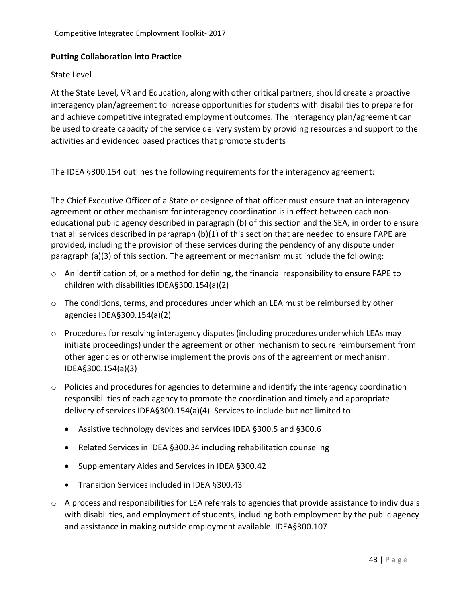#### **Putting Collaboration into Practice**

#### State Level

At the State Level, VR and Education, along with other critical partners, should create a proactive interagency plan/agreement to increase opportunities for students with disabilities to prepare for and achieve competitive integrated employment outcomes. The interagency plan/agreement can be used to create capacity of the service delivery system by providing resources and support to the activities and evidenced based practices that promote students

The IDEA §300.154 outlines the following requirements for the interagency agreement:

The Chief Executive Officer of a State or designee of that officer must ensure that an interagency agreement or other mechanism for interagency coordination is in effect between each noneducational public agency described in paragraph (b) of this section and the SEA, in order to ensure that all services described in paragraph (b)(1) of this section that are needed to ensure FAPE are provided, including the provision of these services during the pendency of any dispute under paragraph (a)(3) of this section. The agreement or mechanism must include the following:

- $\circ$  An identification of, or a method for defining, the financial responsibility to ensure FAPE to children with disabilities IDEA§300.154(a)(2)
- o The conditions, terms, and procedures under which an LEA must be reimbursed by other agencies IDEA§300.154(a)(2)
- $\circ$  Procedures for resolving interagency disputes (including procedures under which LEAs may initiate proceedings) under the agreement or other mechanism to secure reimbursement from other agencies or otherwise implement the provisions of the agreement or mechanism. IDEA§300.154(a)(3)
- $\circ$  Policies and procedures for agencies to determine and identify the interagency coordination responsibilities of each agency to promote the coordination and timely and appropriate delivery of services IDEA§300.154(a)(4). Services to include but not limited to:
	- Assistive technology devices and services IDEA §300.5 and §300.6
	- Related Services in IDEA §300.34 including rehabilitation counseling
	- Supplementary Aides and Services in IDEA §300.42
	- Transition Services included in IDEA §300.43
- o A process and responsibilities for LEA referrals to agencies that provide assistance to individuals with disabilities, and employment of students, including both employment by the public agency and assistance in making outside employment available. IDEA§300.107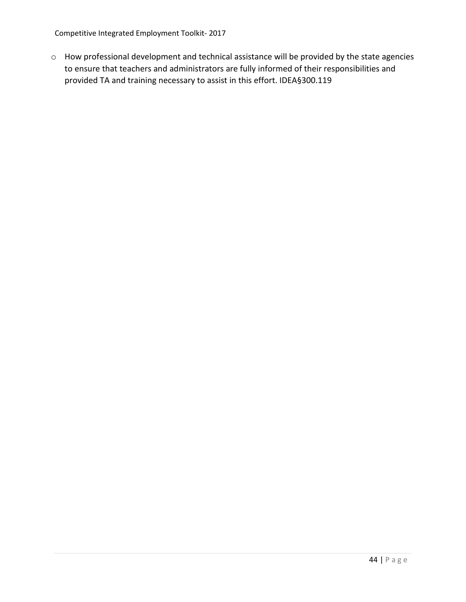Competitive Integrated Employment Toolkit- 2017

o How professional development and technical assistance will be provided by the state agencies to ensure that teachers and administrators are fully informed of their responsibilities and provided TA and training necessary to assist in this effort. IDEA§300.119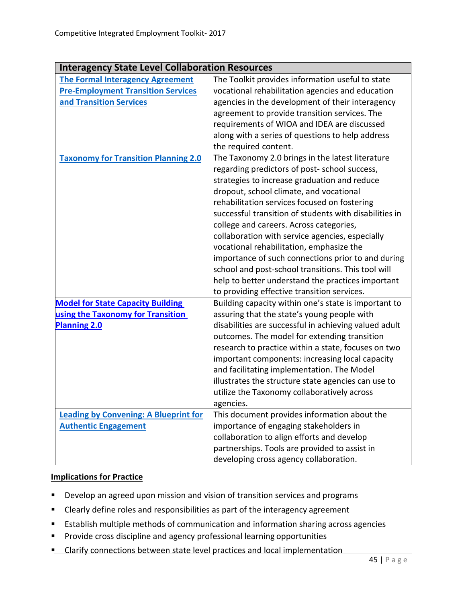| <b>Interagency State Level Collaboration Resources</b> |                                                        |
|--------------------------------------------------------|--------------------------------------------------------|
| <b>The Formal Interagency Agreement</b>                | The Toolkit provides information useful to state       |
| <b>Pre-Employment Transition Services</b>              | vocational rehabilitation agencies and education       |
| and Transition Services                                | agencies in the development of their interagency       |
|                                                        | agreement to provide transition services. The          |
|                                                        | requirements of WIOA and IDEA are discussed            |
|                                                        | along with a series of questions to help address       |
|                                                        | the required content.                                  |
| <b>Taxonomy for Transition Planning 2.0</b>            | The Taxonomy 2.0 brings in the latest literature       |
|                                                        | regarding predictors of post-school success,           |
|                                                        | strategies to increase graduation and reduce           |
|                                                        | dropout, school climate, and vocational                |
|                                                        | rehabilitation services focused on fostering           |
|                                                        | successful transition of students with disabilities in |
|                                                        | college and careers. Across categories,                |
|                                                        | collaboration with service agencies, especially        |
|                                                        | vocational rehabilitation, emphasize the               |
|                                                        | importance of such connections prior to and during     |
|                                                        | school and post-school transitions. This tool will     |
|                                                        | help to better understand the practices important      |
|                                                        | to providing effective transition services.            |
| <b>Model for State Capacity Building</b>               | Building capacity within one's state is important to   |
| using the Taxonomy for Transition                      | assuring that the state's young people with            |
| <b>Planning 2.0</b>                                    | disabilities are successful in achieving valued adult  |
|                                                        | outcomes. The model for extending transition           |
|                                                        | research to practice within a state, focuses on two    |
|                                                        | important components: increasing local capacity        |
|                                                        | and facilitating implementation. The Model             |
|                                                        | illustrates the structure state agencies can use to    |
|                                                        | utilize the Taxonomy collaboratively across            |
|                                                        | agencies.                                              |
| <b>Leading by Convening: A Blueprint for</b>           | This document provides information about the           |
| <b>Authentic Engagement</b>                            | importance of engaging stakeholders in                 |
|                                                        | collaboration to align efforts and develop             |
|                                                        | partnerships. Tools are provided to assist in          |
|                                                        | developing cross agency collaboration.                 |

#### **Implications for Practice**

- **Develop an agreed upon mission and vision of transition services and programs**
- Clearly define roles and responsibilities as part of the interagency agreement
- **Establish multiple methods of communication and information sharing across agencies**
- **Provide cross discipline and agency professional learning opportunities**
- **E** Clarify connections between state level practices and local implementation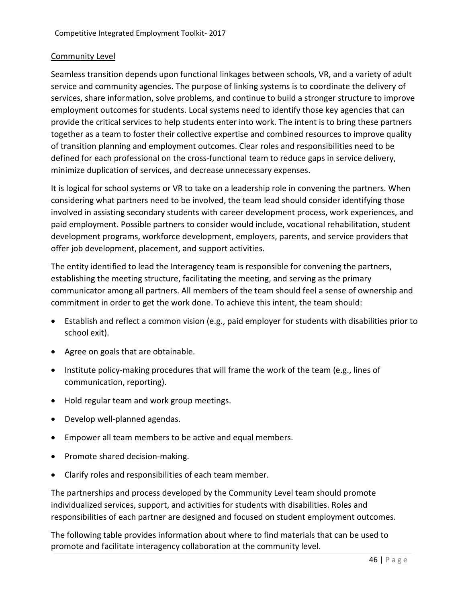#### Community Level

Seamless transition depends upon functional linkages between schools, VR, and a variety of adult service and community agencies. The purpose of linking systems is to coordinate the delivery of services, share information, solve problems, and continue to build a stronger structure to improve employment outcomes for students. Local systems need to identify those key agencies that can provide the critical services to help students enter into work. The intent is to bring these partners together as a team to foster their collective expertise and combined resources to improve quality of transition planning and employment outcomes. Clear roles and responsibilities need to be defined for each professional on the cross-functional team to reduce gaps in service delivery, minimize duplication of services, and decrease unnecessary expenses.

It is logical for school systems or VR to take on a leadership role in convening the partners. When considering what partners need to be involved, the team lead should consider identifying those involved in assisting secondary students with career development process, work experiences, and paid employment. Possible partners to consider would include, vocational rehabilitation, student development programs, workforce development, employers, parents, and service providers that offer job development, placement, and support activities.

The entity identified to lead the Interagency team is responsible for convening the partners, establishing the meeting structure, facilitating the meeting, and serving as the primary communicator among all partners. All members of the team should feel a sense of ownership and commitment in order to get the work done. To achieve this intent, the team should:

- Establish and reflect a common vision (e.g., paid employer for students with disabilities prior to school exit).
- Agree on goals that are obtainable.
- Institute policy-making procedures that will frame the work of the team (e.g., lines of communication, reporting).
- Hold regular team and work group meetings.
- Develop well-planned agendas.
- Empower all team members to be active and equal members.
- Promote shared decision-making.
- Clarify roles and responsibilities of each team member.

The partnerships and process developed by the Community Level team should promote individualized services, support, and activities for students with disabilities. Roles and responsibilities of each partner are designed and focused on student employment outcomes.

The following table provides information about where to find materials that can be used to promote and facilitate interagency collaboration at the community level.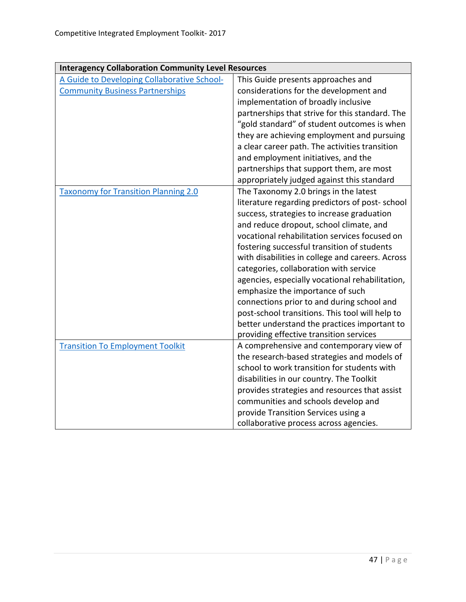| <b>Interagency Collaboration Community Level Resources</b> |                                                                                            |  |
|------------------------------------------------------------|--------------------------------------------------------------------------------------------|--|
| A Guide to Developing Collaborative School-                | This Guide presents approaches and                                                         |  |
| <b>Community Business Partnerships</b>                     | considerations for the development and                                                     |  |
|                                                            | implementation of broadly inclusive                                                        |  |
|                                                            | partnerships that strive for this standard. The                                            |  |
|                                                            | "gold standard" of student outcomes is when                                                |  |
|                                                            | they are achieving employment and pursuing                                                 |  |
|                                                            | a clear career path. The activities transition                                             |  |
|                                                            | and employment initiatives, and the                                                        |  |
|                                                            | partnerships that support them, are most                                                   |  |
|                                                            | appropriately judged against this standard                                                 |  |
| <b>Taxonomy for Transition Planning 2.0</b>                | The Taxonomy 2.0 brings in the latest                                                      |  |
|                                                            | literature regarding predictors of post-school                                             |  |
|                                                            | success, strategies to increase graduation                                                 |  |
|                                                            | and reduce dropout, school climate, and                                                    |  |
|                                                            | vocational rehabilitation services focused on                                              |  |
|                                                            | fostering successful transition of students                                                |  |
|                                                            | with disabilities in college and careers. Across                                           |  |
|                                                            | categories, collaboration with service                                                     |  |
|                                                            | agencies, especially vocational rehabilitation,                                            |  |
|                                                            | emphasize the importance of such                                                           |  |
|                                                            | connections prior to and during school and                                                 |  |
|                                                            | post-school transitions. This tool will help to                                            |  |
|                                                            | better understand the practices important to                                               |  |
|                                                            | providing effective transition services                                                    |  |
| <b>Transition To Employment Toolkit</b>                    | A comprehensive and contemporary view of                                                   |  |
|                                                            | the research-based strategies and models of<br>school to work transition for students with |  |
|                                                            | disabilities in our country. The Toolkit                                                   |  |
|                                                            | provides strategies and resources that assist                                              |  |
|                                                            | communities and schools develop and                                                        |  |
|                                                            | provide Transition Services using a                                                        |  |
|                                                            | collaborative process across agencies.                                                     |  |
|                                                            |                                                                                            |  |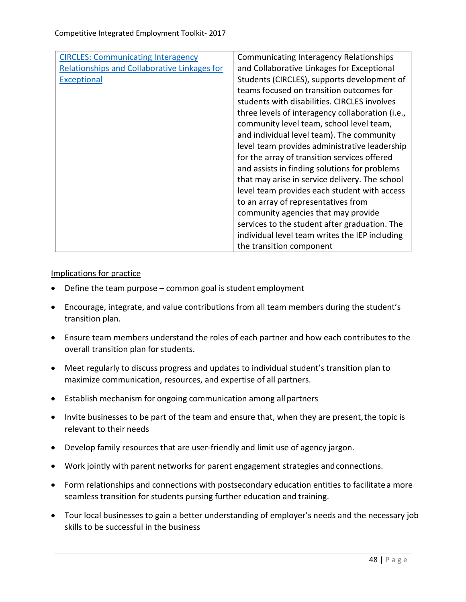| <b>CIRCLES: Communicating Interagency</b>           | Communicating Interagency Relationships          |
|-----------------------------------------------------|--------------------------------------------------|
| <b>Relationships and Collaborative Linkages for</b> | and Collaborative Linkages for Exceptional       |
| <b>Exceptional</b>                                  | Students (CIRCLES), supports development of      |
|                                                     | teams focused on transition outcomes for         |
|                                                     | students with disabilities. CIRCLES involves     |
|                                                     | three levels of interagency collaboration (i.e., |
|                                                     | community level team, school level team,         |
|                                                     | and individual level team). The community        |
|                                                     | level team provides administrative leadership    |
|                                                     | for the array of transition services offered     |
|                                                     | and assists in finding solutions for problems    |
|                                                     | that may arise in service delivery. The school   |
|                                                     | level team provides each student with access     |
|                                                     | to an array of representatives from              |
|                                                     | community agencies that may provide              |
|                                                     | services to the student after graduation. The    |
|                                                     | individual level team writes the IEP including   |
|                                                     | the transition component                         |

#### Implications for practice

- Define the team purpose common goal is student employment
- Encourage, integrate, and value contributions from all team members during the student's transition plan.
- Ensure team members understand the roles of each partner and how each contributes to the overall transition plan for students.
- Meet regularly to discuss progress and updates to individual student's transition plan to maximize communication, resources, and expertise of all partners.
- Establish mechanism for ongoing communication among all partners
- Invite businesses to be part of the team and ensure that, when they are present, the topic is relevant to their needs
- Develop family resources that are user-friendly and limit use of agency jargon.
- Work jointly with parent networks for parent engagement strategies andconnections.
- Form relationships and connections with postsecondary education entities to facilitatea more seamless transition for students pursing further education and training.
- Tour local businesses to gain a better understanding of employer's needs and the necessary job skills to be successful in the business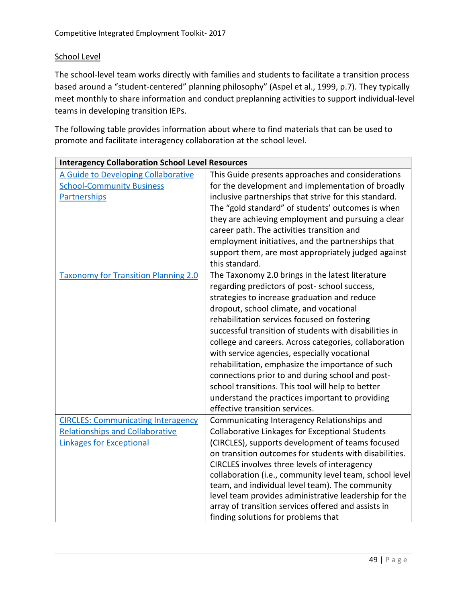#### School Level

The school-level team works directly with families and students to facilitate a transition process based around a "student-centered" planning philosophy" (Aspel et al., 1999, p.7). They typically meet monthly to share information and conduct preplanning activities to support individual-level teams in developing transition IEPs.

The following table provides information about where to find materials that can be used to promote and facilitate interagency collaboration at the school level.

| <b>Interagency Collaboration School Level Resources</b>                                                  |  |  |
|----------------------------------------------------------------------------------------------------------|--|--|
| This Guide presents approaches and considerations                                                        |  |  |
| for the development and implementation of broadly                                                        |  |  |
| inclusive partnerships that strive for this standard.                                                    |  |  |
| The "gold standard" of students' outcomes is when                                                        |  |  |
| they are achieving employment and pursuing a clear                                                       |  |  |
| career path. The activities transition and                                                               |  |  |
| employment initiatives, and the partnerships that                                                        |  |  |
| support them, are most appropriately judged against                                                      |  |  |
| this standard.                                                                                           |  |  |
| The Taxonomy 2.0 brings in the latest literature                                                         |  |  |
| regarding predictors of post-school success,                                                             |  |  |
| strategies to increase graduation and reduce                                                             |  |  |
| dropout, school climate, and vocational                                                                  |  |  |
| rehabilitation services focused on fostering                                                             |  |  |
| successful transition of students with disabilities in                                                   |  |  |
| college and careers. Across categories, collaboration                                                    |  |  |
| with service agencies, especially vocational                                                             |  |  |
| rehabilitation, emphasize the importance of such                                                         |  |  |
| connections prior to and during school and post-                                                         |  |  |
| school transitions. This tool will help to better                                                        |  |  |
| understand the practices important to providing                                                          |  |  |
| effective transition services.                                                                           |  |  |
| Communicating Interagency Relationships and                                                              |  |  |
| <b>Collaborative Linkages for Exceptional Students</b>                                                   |  |  |
| (CIRCLES), supports development of teams focused                                                         |  |  |
| on transition outcomes for students with disabilities.                                                   |  |  |
| CIRCLES involves three levels of interagency                                                             |  |  |
| collaboration (i.e., community level team, school level                                                  |  |  |
| team, and individual level team). The community<br>level team provides administrative leadership for the |  |  |
| array of transition services offered and assists in                                                      |  |  |
| finding solutions for problems that                                                                      |  |  |
|                                                                                                          |  |  |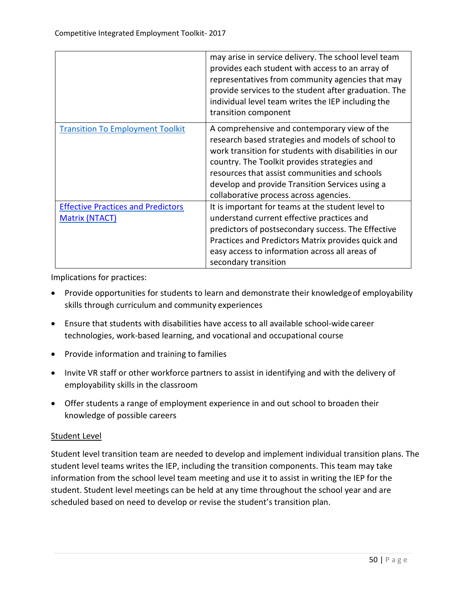|                                                                    | may arise in service delivery. The school level team<br>provides each student with access to an array of<br>representatives from community agencies that may<br>provide services to the student after graduation. The<br>individual level team writes the IEP including the<br>transition component                                                      |
|--------------------------------------------------------------------|----------------------------------------------------------------------------------------------------------------------------------------------------------------------------------------------------------------------------------------------------------------------------------------------------------------------------------------------------------|
| <b>Transition To Employment Toolkit</b>                            | A comprehensive and contemporary view of the<br>research based strategies and models of school to<br>work transition for students with disabilities in our<br>country. The Toolkit provides strategies and<br>resources that assist communities and schools<br>develop and provide Transition Services using a<br>collaborative process across agencies. |
| <b>Effective Practices and Predictors</b><br><b>Matrix (NTACT)</b> | It is important for teams at the student level to<br>understand current effective practices and<br>predictors of postsecondary success. The Effective<br>Practices and Predictors Matrix provides quick and<br>easy access to information across all areas of<br>secondary transition                                                                    |

Implications for practices:

- Provide opportunities for students to learn and demonstrate their knowledge of employability skills through curriculum and community experiences
- Ensure that students with disabilities have access to all available school-widecareer technologies, work-based learning, and vocational and occupational course
- Provide information and training to families
- Invite VR staff or other workforce partners to assist in identifying and with the delivery of employability skills in the classroom
- Offer students a range of employment experience in and out school to broaden their knowledge of possible careers

# Student Level

Student level transition team are needed to develop and implement individual transition plans. The student level teams writes the IEP, including the transition components. This team may take information from the school level team meeting and use it to assist in writing the IEP for the student. Student level meetings can be held at any time throughout the school year and are scheduled based on need to develop or revise the student's transition plan.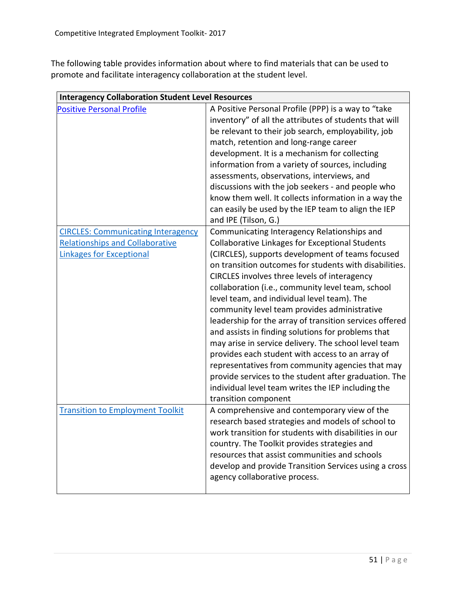The following table provides information about where to find materials that can be used to promote and facilitate interagency collaboration at the student level.

| <b>Interagency Collaboration Student Level Resources</b>                                                               |                                                                                                                                                                                                                                                                                                                                                                                                                                                                                                                                                                                                                                                                                                                                                                                                                                                 |  |
|------------------------------------------------------------------------------------------------------------------------|-------------------------------------------------------------------------------------------------------------------------------------------------------------------------------------------------------------------------------------------------------------------------------------------------------------------------------------------------------------------------------------------------------------------------------------------------------------------------------------------------------------------------------------------------------------------------------------------------------------------------------------------------------------------------------------------------------------------------------------------------------------------------------------------------------------------------------------------------|--|
| <b>Positive Personal Profile</b>                                                                                       | A Positive Personal Profile (PPP) is a way to "take<br>inventory" of all the attributes of students that will<br>be relevant to their job search, employability, job<br>match, retention and long-range career<br>development. It is a mechanism for collecting<br>information from a variety of sources, including<br>assessments, observations, interviews, and<br>discussions with the job seekers - and people who<br>know them well. It collects information in a way the<br>can easily be used by the IEP team to align the IEP<br>and IPE (Tilson, G.)                                                                                                                                                                                                                                                                                   |  |
| <b>CIRCLES: Communicating Interagency</b><br><b>Relationships and Collaborative</b><br><b>Linkages for Exceptional</b> | Communicating Interagency Relationships and<br><b>Collaborative Linkages for Exceptional Students</b><br>(CIRCLES), supports development of teams focused<br>on transition outcomes for students with disabilities.<br>CIRCLES involves three levels of interagency<br>collaboration (i.e., community level team, school<br>level team, and individual level team). The<br>community level team provides administrative<br>leadership for the array of transition services offered<br>and assists in finding solutions for problems that<br>may arise in service delivery. The school level team<br>provides each student with access to an array of<br>representatives from community agencies that may<br>provide services to the student after graduation. The<br>individual level team writes the IEP including the<br>transition component |  |
| <b>Transition to Employment Toolkit</b>                                                                                | A comprehensive and contemporary view of the<br>research based strategies and models of school to<br>work transition for students with disabilities in our<br>country. The Toolkit provides strategies and<br>resources that assist communities and schools<br>develop and provide Transition Services using a cross<br>agency collaborative process.                                                                                                                                                                                                                                                                                                                                                                                                                                                                                           |  |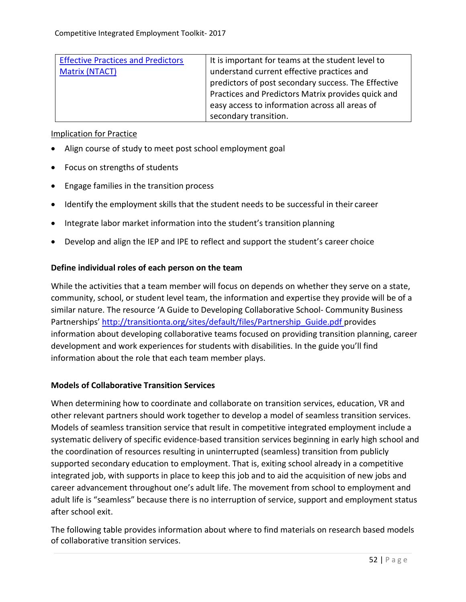| <b>Effective Practices and Predictors</b> | It is important for teams at the student level to   |
|-------------------------------------------|-----------------------------------------------------|
| <b>Matrix (NTACT)</b>                     | understand current effective practices and          |
|                                           | predictors of post secondary success. The Effective |
|                                           | Practices and Predictors Matrix provides quick and  |
|                                           | easy access to information across all areas of      |
|                                           | secondary transition.                               |

#### Implication for Practice

- Align course of study to meet post school employment goal
- Focus on strengths of students
- Engage families in the transition process
- Identify the employment skills that the student needs to be successful in their career
- Integrate labor market information into the student's transition planning
- Develop and align the IEP and IPE to reflect and support the student's career choice

#### **Define individual roles of each person on the team**

While the activities that a team member will focus on depends on whether they serve on a state, community, school, or student level team, the information and expertise they provide will be of a similar nature. The resource 'A Guide to Developing Collaborative School- Community Business Partnerships' [http://transitionta.org/sites/default/files/Partnership\\_Guide.pdf p](http://transitionta.org/sites/default/files/Partnership_Guide.pdf)rovides information about developing collaborative teams focused on providing transition planning, career development and work experiences for students with disabilities. In the guide you'll find information about the role that each team member plays.

#### **Models of Collaborative Transition Services**

When determining how to coordinate and collaborate on transition services, education, VR and other relevant partners should work together to develop a model of seamless transition services. Models of seamless transition service that result in competitive integrated employment include a systematic delivery of specific evidence-based transition services beginning in early high school and the coordination of resources resulting in uninterrupted (seamless) transition from publicly supported secondary education to employment. That is, exiting school already in a competitive integrated job, with supports in place to keep this job and to aid the acquisition of new jobs and career advancement throughout one's adult life. The movement from school to employment and adult life is "seamless" because there is no interruption of service, support and employment status after school exit.

The following table provides information about where to find materials on research based models of collaborative transition services.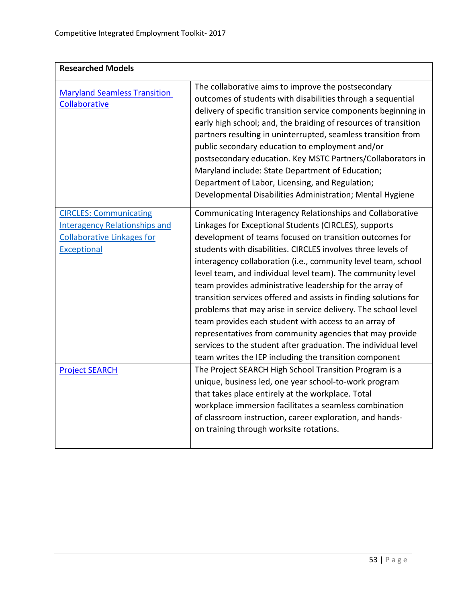| <b>Researched Models</b>                                                                                                         |                                                                                                                                                                                                                                                                                                                                                                                                                                                                                                                                                                                                                                                                                                                                                                                                                                 |
|----------------------------------------------------------------------------------------------------------------------------------|---------------------------------------------------------------------------------------------------------------------------------------------------------------------------------------------------------------------------------------------------------------------------------------------------------------------------------------------------------------------------------------------------------------------------------------------------------------------------------------------------------------------------------------------------------------------------------------------------------------------------------------------------------------------------------------------------------------------------------------------------------------------------------------------------------------------------------|
| <b>Maryland Seamless Transition</b><br>Collaborative                                                                             | The collaborative aims to improve the postsecondary<br>outcomes of students with disabilities through a sequential<br>delivery of specific transition service components beginning in<br>early high school; and, the braiding of resources of transition<br>partners resulting in uninterrupted, seamless transition from<br>public secondary education to employment and/or<br>postsecondary education. Key MSTC Partners/Collaborators in<br>Maryland include: State Department of Education;<br>Department of Labor, Licensing, and Regulation;<br>Developmental Disabilities Administration; Mental Hygiene                                                                                                                                                                                                                 |
| <b>CIRCLES: Communicating</b><br><b>Interagency Relationships and</b><br><b>Collaborative Linkages for</b><br><b>Exceptional</b> | Communicating Interagency Relationships and Collaborative<br>Linkages for Exceptional Students (CIRCLES), supports<br>development of teams focused on transition outcomes for<br>students with disabilities. CIRCLES involves three levels of<br>interagency collaboration (i.e., community level team, school<br>level team, and individual level team). The community level<br>team provides administrative leadership for the array of<br>transition services offered and assists in finding solutions for<br>problems that may arise in service delivery. The school level<br>team provides each student with access to an array of<br>representatives from community agencies that may provide<br>services to the student after graduation. The individual level<br>team writes the IEP including the transition component |
| <b>Project SEARCH</b>                                                                                                            | The Project SEARCH High School Transition Program is a<br>unique, business led, one year school-to-work program<br>that takes place entirely at the workplace. Total<br>workplace immersion facilitates a seamless combination<br>of classroom instruction, career exploration, and hands-<br>on training through worksite rotations.                                                                                                                                                                                                                                                                                                                                                                                                                                                                                           |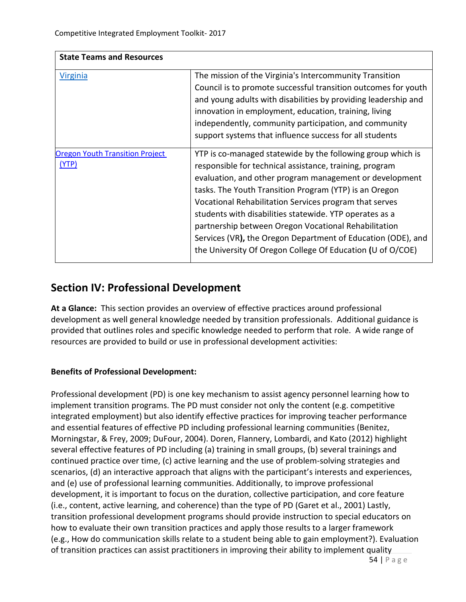| <b>State Teams and Resources</b>                |                                                                                                                                                                                                                                                                                                                                                                                                                                                                                                                                                        |
|-------------------------------------------------|--------------------------------------------------------------------------------------------------------------------------------------------------------------------------------------------------------------------------------------------------------------------------------------------------------------------------------------------------------------------------------------------------------------------------------------------------------------------------------------------------------------------------------------------------------|
| <b>Virginia</b>                                 | The mission of the Virginia's Intercommunity Transition<br>Council is to promote successful transition outcomes for youth<br>and young adults with disabilities by providing leadership and<br>innovation in employment, education, training, living<br>independently, community participation, and community<br>support systems that influence success for all students                                                                                                                                                                               |
| <b>Oregon Youth Transition Project</b><br>(YTP) | YTP is co-managed statewide by the following group which is<br>responsible for technical assistance, training, program<br>evaluation, and other program management or development<br>tasks. The Youth Transition Program (YTP) is an Oregon<br>Vocational Rehabilitation Services program that serves<br>students with disabilities statewide. YTP operates as a<br>partnership between Oregon Vocational Rehabilitation<br>Services (VR), the Oregon Department of Education (ODE), and<br>the University Of Oregon College Of Education (U of O/COE) |

# **Section IV: Professional Development**

**At a Glance:** This section provides an overview of effective practices around professional development as well general knowledge needed by transition professionals. Additional guidance is provided that outlines roles and specific knowledge needed to perform that role. A wide range of resources are provided to build or use in professional development activities:

# **Benefits of Professional Development:**

Professional development (PD) is one key mechanism to assist agency personnel learning how to implement transition programs. The PD must consider not only the content (e.g. competitive integrated employment) but also identify effective practices for improving teacher performance and essential features of effective PD including professional learning communities (Benitez, Morningstar, & Frey, 2009; DuFour, 2004). Doren, Flannery, Lombardi, and Kato (2012) highlight several effective features of PD including (a) training in small groups, (b) several trainings and continued practice over time, (c) active learning and the use of problem-solving strategies and scenarios, (d) an interactive approach that aligns with the participant's interests and experiences, and (e) use of professional learning communities. Additionally, to improve professional development, it is important to focus on the duration, collective participation, and core feature (i.e., content, active learning, and coherence) than the type of PD (Garet et al., 2001) Lastly, transition professional development programs should provide instruction to special educators on how to evaluate their own transition practices and apply those results to a larger framework (e.g., How do communication skills relate to a student being able to gain employment?). Evaluation of transition practices can assist practitioners in improving their ability to implement quality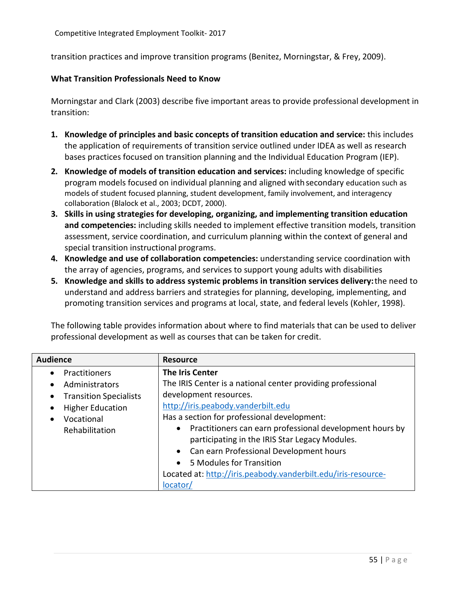transition practices and improve transition programs (Benitez, Morningstar, & Frey, 2009).

#### **What Transition Professionals Need to Know**

Morningstar and Clark (2003) describe five important areas to provide professional development in transition:

- **1. Knowledge of principles and basic concepts of transition education and service:** this includes the application of requirements of transition service outlined under IDEA as well as research bases practices focused on transition planning and the Individual Education Program (IEP).
- **2. Knowledge of models of transition education and services:** including knowledge of specific program models focused on individual planning and aligned withsecondary education such as models of student focused planning, student development, family involvement, and interagency collaboration (Blalock et al., 2003; DCDT, 2000).
- **3. Skills in using strategies for developing, organizing, and implementing transition education and competencies:** including skills needed to implement effective transition models, transition assessment, service coordination, and curriculum planning within the context of general and special transition instructional programs.
- **4. Knowledge and use of collaboration competencies:** understanding service coordination with the array of agencies, programs, and services to support young adults with disabilities
- **5. Knowledge and skills to address systemic problems in transition services delivery:**the need to understand and address barriers and strategies for planning, developing, implementing, and promoting transition services and programs at local, state, and federal levels (Kohler, 1998).

The following table provides information about where to find materials that can be used to deliver professional development as well as courses that can be taken for credit.

| <b>Audience</b>                            | <b>Resource</b>                                               |
|--------------------------------------------|---------------------------------------------------------------|
| Practitioners<br>$\bullet$                 | <b>The Iris Center</b>                                        |
| Administrators<br>$\bullet$                | The IRIS Center is a national center providing professional   |
| <b>Transition Specialists</b><br>$\bullet$ | development resources.                                        |
| <b>Higher Education</b><br>$\bullet$       | http://iris.peabody.vanderbilt.edu                            |
| Vocational<br>$\bullet$                    | Has a section for professional development:                   |
| Rehabilitation                             | • Practitioners can earn professional development hours by    |
|                                            | participating in the IRIS Star Legacy Modules.                |
|                                            | • Can earn Professional Development hours                     |
|                                            | 5 Modules for Transition<br>$\bullet$                         |
|                                            | Located at: http://iris.peabody.vanderbilt.edu/iris-resource- |
|                                            | locator                                                       |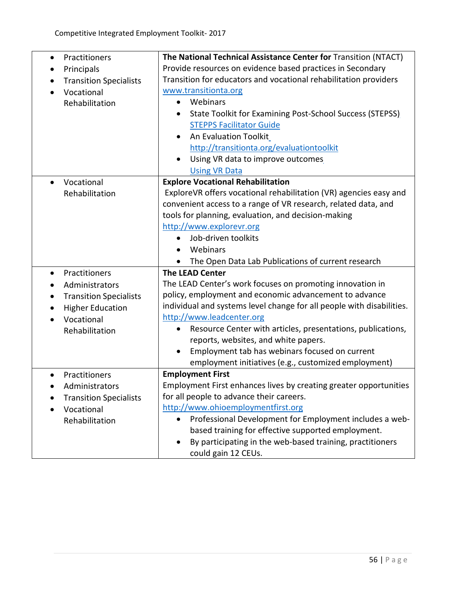| Practitioners<br>$\bullet$<br>Principals<br><b>Transition Specialists</b><br>٠<br>Vocational<br>Rehabilitation                                             | The National Technical Assistance Center for Transition (NTACT)<br>Provide resources on evidence based practices in Secondary<br>Transition for educators and vocational rehabilitation providers<br>www.transitionta.org<br>Webinars<br>$\bullet$<br>State Toolkit for Examining Post-School Success (STEPSS)<br>$\bullet$<br><b>STEPPS Facilitator Guide</b><br>An Evaluation Toolkit<br>$\bullet$<br>http://transitionta.org/evaluationtoolkit                    |
|------------------------------------------------------------------------------------------------------------------------------------------------------------|----------------------------------------------------------------------------------------------------------------------------------------------------------------------------------------------------------------------------------------------------------------------------------------------------------------------------------------------------------------------------------------------------------------------------------------------------------------------|
|                                                                                                                                                            | Using VR data to improve outcomes<br><b>Using VR Data</b>                                                                                                                                                                                                                                                                                                                                                                                                            |
| Vocational<br>$\bullet$<br>Rehabilitation                                                                                                                  | <b>Explore Vocational Rehabilitation</b><br>ExploreVR offers vocational rehabilitation (VR) agencies easy and<br>convenient access to a range of VR research, related data, and<br>tools for planning, evaluation, and decision-making<br>http://www.explorevr.org<br>Job-driven toolkits<br>Webinars<br>$\bullet$<br>The Open Data Lab Publications of current research                                                                                             |
| Practitioners<br>$\bullet$<br>Administrators<br><b>Transition Specialists</b><br>٠<br><b>Higher Education</b><br>$\bullet$<br>Vocational<br>Rehabilitation | <b>The LEAD Center</b><br>The LEAD Center's work focuses on promoting innovation in<br>policy, employment and economic advancement to advance<br>individual and systems level change for all people with disabilities.<br>http://www.leadcenter.org<br>Resource Center with articles, presentations, publications,<br>reports, websites, and white papers.<br>Employment tab has webinars focused on current<br>employment initiatives (e.g., customized employment) |
| Practitioners<br>Administrators<br><b>Transition Specialists</b><br>Vocational<br>Rehabilitation                                                           | <b>Employment First</b><br>Employment First enhances lives by creating greater opportunities<br>for all people to advance their careers.<br>http://www.ohioemploymentfirst.org<br>Professional Development for Employment includes a web-<br>$\bullet$<br>based training for effective supported employment.<br>By participating in the web-based training, practitioners<br>$\bullet$<br>could gain 12 CEUs.                                                        |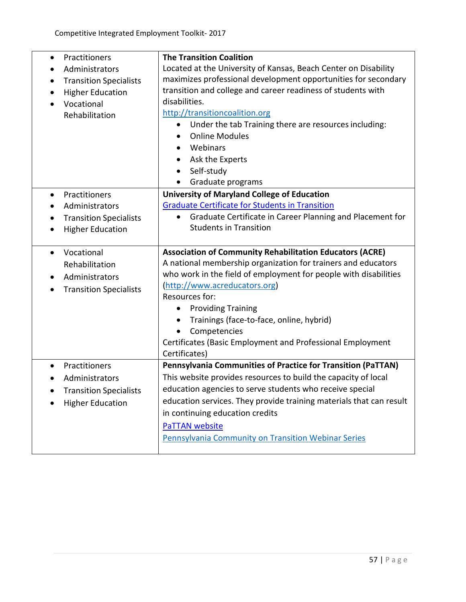| Practitioners<br>$\bullet$<br>Administrators<br><b>Transition Specialists</b><br><b>Higher Education</b><br>Vocational<br>$\bullet$<br>Rehabilitation | <b>The Transition Coalition</b><br>Located at the University of Kansas, Beach Center on Disability<br>maximizes professional development opportunities for secondary<br>transition and college and career readiness of students with<br>disabilities.<br>http://transitioncoalition.org<br>Under the tab Training there are resources including:<br>$\bullet$<br><b>Online Modules</b><br>Webinars<br>$\bullet$<br>Ask the Experts<br>$\bullet$<br>Self-study<br>$\bullet$<br>Graduate programs |
|-------------------------------------------------------------------------------------------------------------------------------------------------------|-------------------------------------------------------------------------------------------------------------------------------------------------------------------------------------------------------------------------------------------------------------------------------------------------------------------------------------------------------------------------------------------------------------------------------------------------------------------------------------------------|
| Practitioners<br>$\bullet$<br>Administrators<br><b>Transition Specialists</b><br><b>Higher Education</b>                                              | <b>University of Maryland College of Education</b><br><b>Graduate Certificate for Students in Transition</b><br>Graduate Certificate in Career Planning and Placement for<br>$\bullet$<br><b>Students in Transition</b>                                                                                                                                                                                                                                                                         |
| Vocational<br>$\bullet$<br>Rehabilitation<br>Administrators<br><b>Transition Specialists</b><br>٠                                                     | <b>Association of Community Rehabilitation Educators (ACRE)</b><br>A national membership organization for trainers and educators<br>who work in the field of employment for people with disabilities<br>(http://www.acreducators.org)<br>Resources for:<br><b>Providing Training</b><br>$\bullet$<br>Trainings (face-to-face, online, hybrid)<br>$\bullet$<br>Competencies<br>$\bullet$<br>Certificates (Basic Employment and Professional Employment<br>Certificates)                          |
| Practitioners<br>Administrators<br><b>Transition Specialists</b><br><b>Higher Education</b>                                                           | Pennsylvania Communities of Practice for Transition (PaTTAN)<br>This website provides resources to build the capacity of local<br>education agencies to serve students who receive special<br>education services. They provide training materials that can result<br>in continuing education credits<br><b>PaTTAN website</b><br><b>Pennsylvania Community on Transition Webinar Series</b>                                                                                                     |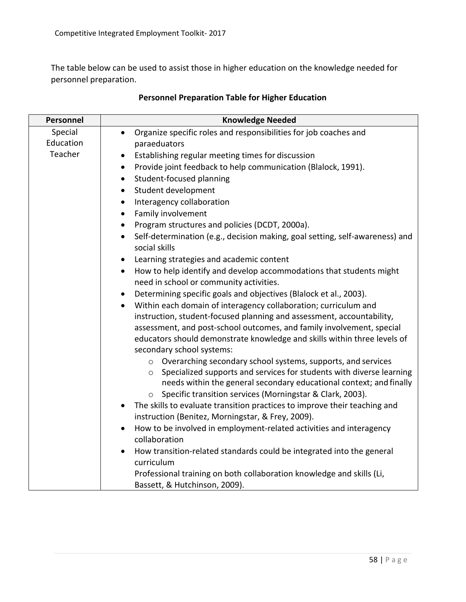The table below can be used to assist those in higher education on the knowledge needed for personnel preparation.

| Personnel | <b>Knowledge Needed</b>                                                                                                                           |
|-----------|---------------------------------------------------------------------------------------------------------------------------------------------------|
| Special   | Organize specific roles and responsibilities for job coaches and<br>$\bullet$                                                                     |
| Education | paraeduators                                                                                                                                      |
| Teacher   | Establishing regular meeting times for discussion<br>$\bullet$                                                                                    |
|           | Provide joint feedback to help communication (Blalock, 1991).<br>$\bullet$                                                                        |
|           | Student-focused planning<br>$\bullet$                                                                                                             |
|           | Student development<br>$\bullet$                                                                                                                  |
|           | Interagency collaboration<br>$\bullet$                                                                                                            |
|           | Family involvement<br>$\bullet$                                                                                                                   |
|           | Program structures and policies (DCDT, 2000a).<br>$\bullet$                                                                                       |
|           | Self-determination (e.g., decision making, goal setting, self-awareness) and<br>$\bullet$<br>social skills                                        |
|           | Learning strategies and academic content                                                                                                          |
|           | How to help identify and develop accommodations that students might<br>$\bullet$<br>need in school or community activities.                       |
|           | Determining specific goals and objectives (Blalock et al., 2003).                                                                                 |
|           | Within each domain of interagency collaboration; curriculum and<br>$\bullet$                                                                      |
|           | instruction, student-focused planning and assessment, accountability,                                                                             |
|           | assessment, and post-school outcomes, and family involvement, special                                                                             |
|           | educators should demonstrate knowledge and skills within three levels of                                                                          |
|           | secondary school systems:                                                                                                                         |
|           | o Overarching secondary school systems, supports, and services                                                                                    |
|           | Specialized supports and services for students with diverse learning<br>$\circ$                                                                   |
|           | needs within the general secondary educational context; and finally                                                                               |
|           | Specific transition services (Morningstar & Clark, 2003).<br>$\circ$<br>The skills to evaluate transition practices to improve their teaching and |
|           | $\bullet$<br>instruction (Benitez, Morningstar, & Frey, 2009).                                                                                    |
|           | How to be involved in employment-related activities and interagency                                                                               |
|           | collaboration                                                                                                                                     |
|           | How transition-related standards could be integrated into the general                                                                             |
|           | curriculum                                                                                                                                        |
|           | Professional training on both collaboration knowledge and skills (Li,<br>Bassett, & Hutchinson, 2009).                                            |
|           |                                                                                                                                                   |

# **Personnel Preparation Table for Higher Education**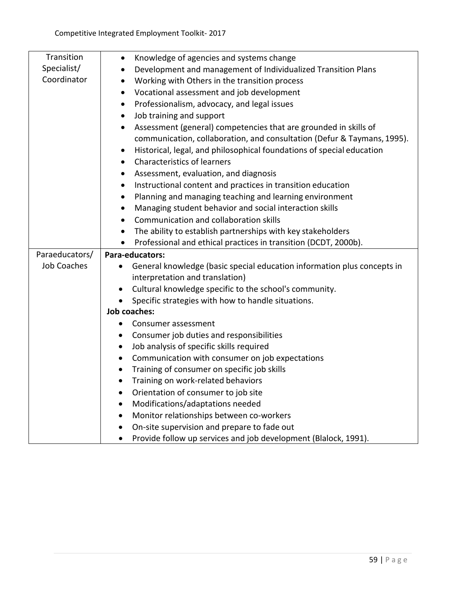| Transition         | Knowledge of agencies and systems change<br>$\bullet$                                |
|--------------------|--------------------------------------------------------------------------------------|
| Specialist/        | Development and management of Individualized Transition Plans<br>$\bullet$           |
| Coordinator        | Working with Others in the transition process<br>$\bullet$                           |
|                    | Vocational assessment and job development<br>$\bullet$                               |
|                    | Professionalism, advocacy, and legal issues<br>$\bullet$                             |
|                    | Job training and support<br>$\bullet$                                                |
|                    | Assessment (general) competencies that are grounded in skills of<br>$\bullet$        |
|                    | communication, collaboration, and consultation (Defur & Taymans, 1995).              |
|                    | Historical, legal, and philosophical foundations of special education<br>$\bullet$   |
|                    | <b>Characteristics of learners</b><br>$\bullet$                                      |
|                    | Assessment, evaluation, and diagnosis<br>$\bullet$                                   |
|                    | Instructional content and practices in transition education<br>$\bullet$             |
|                    | Planning and managing teaching and learning environment<br>$\bullet$                 |
|                    | Managing student behavior and social interaction skills<br>$\bullet$                 |
|                    | Communication and collaboration skills<br>$\bullet$                                  |
|                    | The ability to establish partnerships with key stakeholders<br>$\bullet$             |
|                    | Professional and ethical practices in transition (DCDT, 2000b).<br>$\bullet$         |
| Paraeducators/     | Para-educators:                                                                      |
| <b>Job Coaches</b> | General knowledge (basic special education information plus concepts in<br>$\bullet$ |
|                    | interpretation and translation)                                                      |
|                    | Cultural knowledge specific to the school's community.<br>$\bullet$                  |
|                    | Specific strategies with how to handle situations.<br>$\bullet$                      |
|                    | <b>Job coaches:</b>                                                                  |
|                    | Consumer assessment<br>$\bullet$                                                     |
|                    | Consumer job duties and responsibilities<br>$\bullet$                                |
|                    | Job analysis of specific skills required<br>$\bullet$                                |
|                    | Communication with consumer on job expectations<br>$\bullet$                         |
|                    | Training of consumer on specific job skills<br>$\bullet$                             |
|                    | Training on work-related behaviors<br>$\bullet$                                      |
|                    | Orientation of consumer to job site<br>$\bullet$                                     |
|                    | Modifications/adaptations needed<br>$\bullet$                                        |
|                    | Monitor relationships between co-workers<br>$\bullet$                                |
|                    | On-site supervision and prepare to fade out<br>$\bullet$                             |
|                    | Provide follow up services and job development (Blalock, 1991).                      |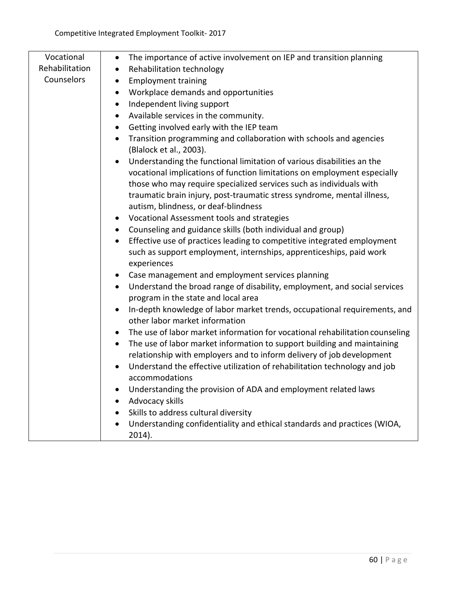| Vocational     | The importance of active involvement on IEP and transition planning<br>$\bullet$                                              |
|----------------|-------------------------------------------------------------------------------------------------------------------------------|
| Rehabilitation | Rehabilitation technology<br>$\bullet$                                                                                        |
| Counselors     | <b>Employment training</b><br>$\bullet$                                                                                       |
|                | Workplace demands and opportunities<br>$\bullet$                                                                              |
|                | Independent living support<br>$\bullet$                                                                                       |
|                | Available services in the community.<br>$\bullet$                                                                             |
|                | Getting involved early with the IEP team<br>$\bullet$                                                                         |
|                | Transition programming and collaboration with schools and agencies<br>$\bullet$<br>(Blalock et al., 2003).                    |
|                | Understanding the functional limitation of various disabilities an the<br>$\bullet$                                           |
|                | vocational implications of function limitations on employment especially                                                      |
|                | those who may require specialized services such as individuals with                                                           |
|                | traumatic brain injury, post-traumatic stress syndrome, mental illness,                                                       |
|                | autism, blindness, or deaf-blindness                                                                                          |
|                | Vocational Assessment tools and strategies<br>$\bullet$                                                                       |
|                | • Counseling and guidance skills (both individual and group)                                                                  |
|                | Effective use of practices leading to competitive integrated employment<br>$\bullet$                                          |
|                | such as support employment, internships, apprenticeships, paid work                                                           |
|                | experiences                                                                                                                   |
|                | Case management and employment services planning<br>$\bullet$                                                                 |
|                | Understand the broad range of disability, employment, and social services<br>$\bullet$<br>program in the state and local area |
|                | In-depth knowledge of labor market trends, occupational requirements, and<br>$\bullet$<br>other labor market information      |
|                | The use of labor market information for vocational rehabilitation counseling<br>$\bullet$                                     |
|                | The use of labor market information to support building and maintaining<br>$\bullet$                                          |
|                | relationship with employers and to inform delivery of job development                                                         |
|                | Understand the effective utilization of rehabilitation technology and job<br>$\bullet$                                        |
|                | accommodations                                                                                                                |
|                | Understanding the provision of ADA and employment related laws<br>$\bullet$                                                   |
|                | Advocacy skills<br>$\bullet$                                                                                                  |
|                | Skills to address cultural diversity<br>$\bullet$                                                                             |
|                | Understanding confidentiality and ethical standards and practices (WIOA,<br>$\bullet$                                         |
|                | $2014$ ).                                                                                                                     |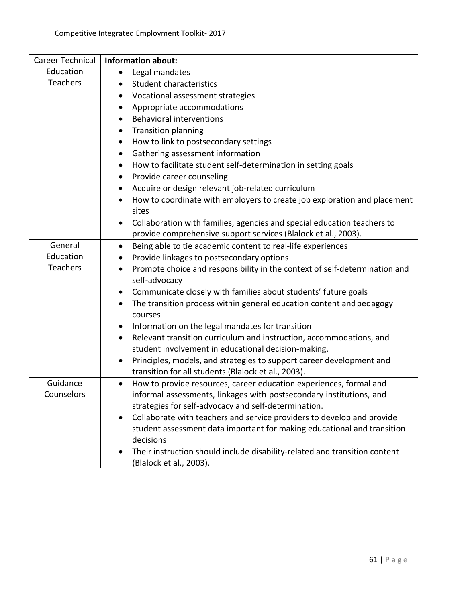| Career Technical | <b>Information about:</b>                                                                                          |
|------------------|--------------------------------------------------------------------------------------------------------------------|
| Education        | Legal mandates                                                                                                     |
| Teachers         | <b>Student characteristics</b>                                                                                     |
|                  | Vocational assessment strategies                                                                                   |
|                  | Appropriate accommodations<br>$\bullet$                                                                            |
|                  | <b>Behavioral interventions</b><br>$\bullet$                                                                       |
|                  | <b>Transition planning</b><br>$\bullet$                                                                            |
|                  | How to link to postsecondary settings<br>٠                                                                         |
|                  | Gathering assessment information<br>$\bullet$                                                                      |
|                  | How to facilitate student self-determination in setting goals<br>$\bullet$                                         |
|                  | Provide career counseling<br>$\bullet$                                                                             |
|                  | Acquire or design relevant job-related curriculum<br>$\bullet$                                                     |
|                  | How to coordinate with employers to create job exploration and placement<br>$\bullet$                              |
|                  | sites                                                                                                              |
|                  | Collaboration with families, agencies and special education teachers to<br>$\bullet$                               |
|                  | provide comprehensive support services (Blalock et al., 2003).                                                     |
| General          | Being able to tie academic content to real-life experiences<br>$\bullet$                                           |
| Education        | Provide linkages to postsecondary options<br>٠                                                                     |
| Teachers         | Promote choice and responsibility in the context of self-determination and<br>$\bullet$<br>self-advocacy           |
|                  | Communicate closely with families about students' future goals<br>٠                                                |
|                  | The transition process within general education content and pedagogy<br>$\bullet$                                  |
|                  | courses                                                                                                            |
|                  | Information on the legal mandates for transition<br>$\bullet$                                                      |
|                  | Relevant transition curriculum and instruction, accommodations, and<br>$\bullet$                                   |
|                  | student involvement in educational decision-making.                                                                |
|                  | Principles, models, and strategies to support career development and<br>$\bullet$                                  |
|                  | transition for all students (Blalock et al., 2003).                                                                |
| Guidance         | How to provide resources, career education experiences, formal and<br>$\bullet$                                    |
| Counselors       | informal assessments, linkages with postsecondary institutions, and                                                |
|                  | strategies for self-advocacy and self-determination.                                                               |
|                  | Collaborate with teachers and service providers to develop and provide<br>$\bullet$                                |
|                  | student assessment data important for making educational and transition                                            |
|                  | decisions                                                                                                          |
|                  | Their instruction should include disability-related and transition content<br>$\bullet$<br>(Blalock et al., 2003). |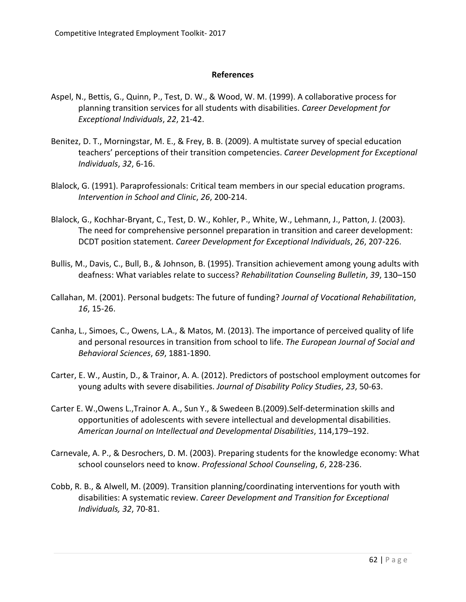#### **References**

- Aspel, N., Bettis, G., Quinn, P., Test, D. W., & Wood, W. M. (1999). A collaborative process for planning transition services for all students with disabilities. *Career Development for Exceptional Individuals*, *22*, 21-42.
- Benitez, D. T., Morningstar, M. E., & Frey, B. B. (2009). A multistate survey of special education teachers' perceptions of their transition competencies. *Career Development for Exceptional Individuals*, *32*, 6-16.
- Blalock, G. (1991). Paraprofessionals: Critical team members in our special education programs. *Intervention in School and Clinic*, *26*, 200-214.
- Blalock, G., Kochhar-Bryant, C., Test, D. W., Kohler, P., White, W., Lehmann, J., Patton, J. (2003). The need for comprehensive personnel preparation in transition and career development: DCDT position statement. *Career Development for Exceptional Individuals*, *26*, 207-226.
- Bullis, M., Davis, C., Bull, B., & Johnson, B. (1995). Transition achievement among young adults with deafness: What variables relate to success? *Rehabilitation Counseling Bulletin*, *39*, 130–150
- Callahan, M. (2001). Personal budgets: The future of funding? *Journal of Vocational Rehabilitation*, *16*, 15-26.
- Canha, L., Simoes, C., Owens, L.A., & Matos, M. (2013). The importance of perceived quality of life and personal resources in transition from school to life. *The European Journal of Social and Behavioral Sciences*, *69*, 1881-1890.
- Carter, E. W., Austin, D., & Trainor, A. A. (2012). Predictors of postschool employment outcomes for young adults with severe disabilities. *Journal of Disability Policy Studies*, *23*, 50-63.
- Carter E. W.,Owens L.,Trainor A. A., Sun Y., & Swedeen B.(2009).Self-determination skills and opportunities of adolescents with severe intellectual and developmental disabilities. *American Journal on Intellectual and Developmental Disabilities*, 114,179–192.
- Carnevale, A. P., & Desrochers, D. M. (2003). Preparing students for the knowledge economy: What school counselors need to know. *Professional School Counseling*, *6*, 228-236.
- Cobb, R. B., & Alwell, M. (2009). Transition planning/coordinating interventions for youth with disabilities: A systematic review. *Career Development and Transition for Exceptional Individuals, 32*, 70-81.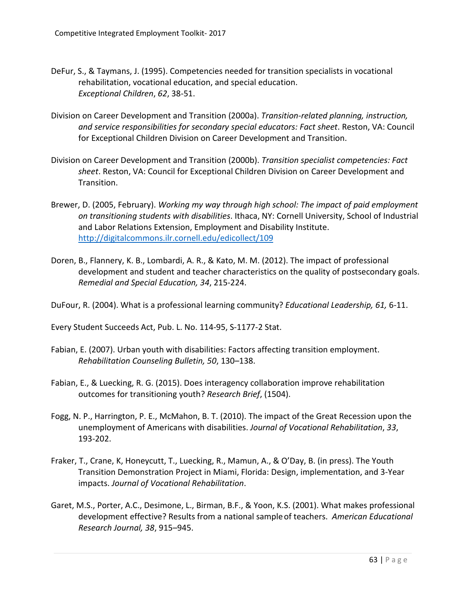- DeFur, S., & Taymans, J. (1995). Competencies needed for transition specialists in vocational rehabilitation, vocational education, and special education. *Exceptional Children*, *62*, 38-51.
- Division on Career Development and Transition (2000a). *Transition-related planning, instruction, and service responsibilities for secondary special educators: Fact sheet*. Reston, VA: Council for Exceptional Children Division on Career Development and Transition.
- Division on Career Development and Transition (2000b). *Transition specialist competencies: Fact sheet*. Reston, VA: Council for Exceptional Children Division on Career Development and Transition.
- Brewer, D. (2005, February). *Working my way through high school: The impact of paid employment on transitioning students with disabilities*. Ithaca, NY: Cornell University, School of Industrial and Labor Relations Extension, Employment and Disability Institute. <http://digitalcommons.ilr.cornell.edu/edicollect/109>
- Doren, B., Flannery, K. B., Lombardi, A. R., & Kato, M. M. (2012). The impact of professional development and student and teacher characteristics on the quality of postsecondary goals. *Remedial and Special Education, 34*, 215-224.

DuFour, R. (2004). What is a professional learning community? *Educational Leadership, 61,* 6-11.

Every Student Succeeds Act, Pub. L. No. 114-95, S-1177-2 Stat.

- Fabian, E. (2007). Urban youth with disabilities: Factors affecting transition employment. *Rehabilitation Counseling Bulletin, 50*, 130–138.
- Fabian, E., & Luecking, R. G. (2015). Does interagency collaboration improve rehabilitation outcomes for transitioning youth? *Research Brief*, (1504).
- Fogg, N. P., Harrington, P. E., McMahon, B. T. (2010). The impact of the Great Recession upon the unemployment of Americans with disabilities. *Journal of Vocational Rehabilitation*, *33*, 193-202.
- Fraker, T., Crane, K, Honeycutt, T., Luecking, R., Mamun, A., & O'Day, B. (in press). The Youth Transition Demonstration Project in Miami, Florida: Design, implementation, and 3-Year impacts. *Journal of Vocational Rehabilitation*.
- Garet, M.S., Porter, A.C., Desimone, L., Birman, B.F., & Yoon, K.S. (2001). What makes professional development effective? Results from a national sampleof teachers. *American Educational Research Journal, 38*, 915–945.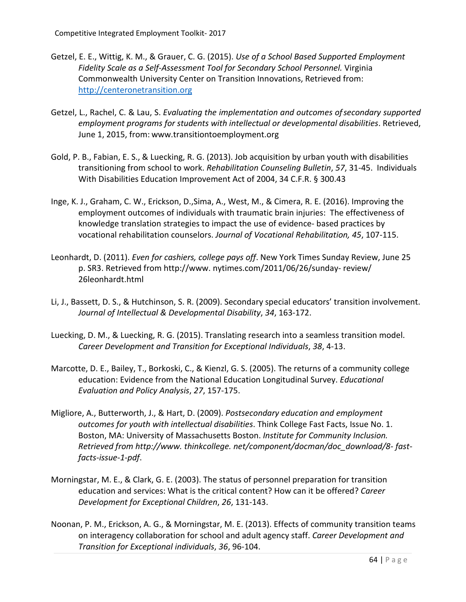- Getzel, E. E., Wittig, K. M., & Grauer, C. G. (2015). *Use of a School Based Supported Employment Fidelity Scale as a Self-Assessment Tool for Secondary School Personnel.* Virginia Commonwealth University Center on Transition Innovations, Retrieved from: [http://centeronetransition.org](http://centeronetransition.org/)
- Getzel, L., Rachel, C. & Lau, S. *Evaluating the implementation and outcomes ofsecondary supported employment programs for students with intellectual or developmental disabilities*. Retrieved, June 1, 2015, from: [www.transitiontoemployment.org](http://www.transitiontoemployment.org/)
- Gold, P. B., Fabian, E. S., & Luecking, R. G. (2013). Job acquisition by urban youth with disabilities transitioning from school to work. *Rehabilitation Counseling Bulletin*, *57*, 31-45. Individuals With Disabilities Education Improvement Act of 2004, 34 C.F.R. § 300.43
- Inge, K. J., Graham, C. W., Erickson, D.,Sima, A., West, M., & Cimera, R. E. (2016). Improving the employment outcomes of individuals with traumatic brain injuries: The effectiveness of knowledge translation strategies to impact the use of evidence- based practices by vocational rehabilitation counselors. *Journal of Vocational Rehabilitation, 45*, 107-115.
- Leonhardt, D. (2011). *Even for cashiers, college pays off*. New York Times Sunday Review, June 25 p. SR3. Retrieved from [http://www. n](http://www/)ytimes.com/2011/06/26/sunday- review/ 26leonhardt.html
- Li, J., Bassett, D. S., & Hutchinson, S. R. (2009). Secondary special educators' transition involvement. *Journal of Intellectual & Developmental Disability*, *34*, 163-172.
- Luecking, D. M., & Luecking, R. G. (2015). Translating research into a seamless transition model. *Career Development and Transition for Exceptional Individuals*, *38*, 4-13.
- Marcotte, D. E., Bailey, T., Borkoski, C., & Kienzl, G. S. (2005). The returns of a community college education: Evidence from the National Education Longitudinal Survey. *Educational Evaluation and Policy Analysis*, *27*, 157-175.
- Migliore, A., Butterworth, J., & Hart, D. (2009). *Postsecondary education and employment outcomes for youth with intellectual disabilities*. Think College Fast Facts, Issue No. 1. Boston, MA: University of Massachusetts Boston. *Institute for Community Inclusion. Retrieved from [http://www. t](http://www/)hinkcollege. net/component/docman/doc\_download/8- fastfacts-issue-1-pdf*.
- Morningstar, M. E., & Clark, G. E. (2003). The status of personnel preparation for transition education and services: What is the critical content? How can it be offered? *Career Development for Exceptional Children*, *26*, 131-143.
- Noonan, P. M., Erickson, A. G., & Morningstar, M. E. (2013). Effects of community transition teams on interagency collaboration for school and adult agency staff. *Career Development and Transition for Exceptional individuals*, *36*, 96-104.